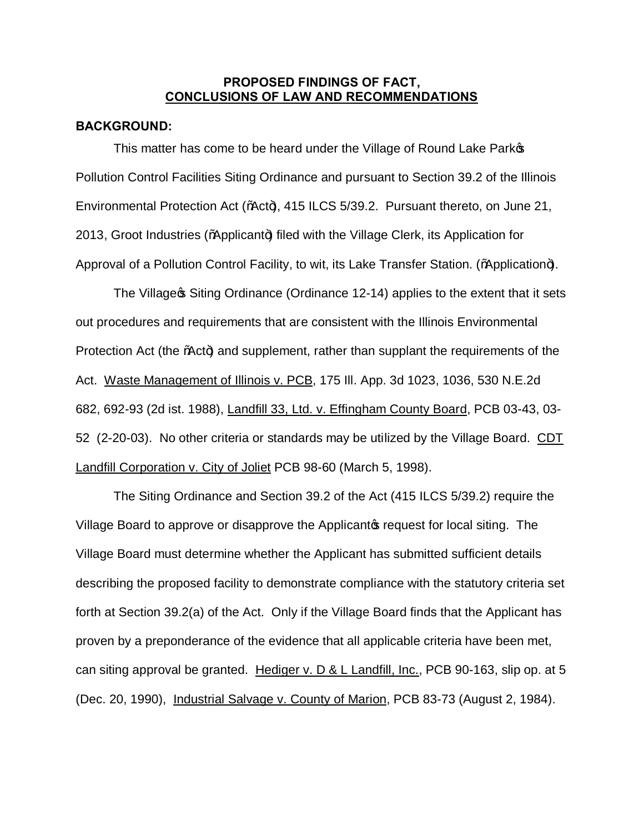## **PROPOSED FINDINGS OF FACT, CONCLUSIONS OF LAW AND RECOMMENDATIONS**

#### **BACKGROUND:**

This matter has come to be heard under the Village of Round Lake Parkop Pollution Control Facilities Siting Ordinance and pursuant to Section 39.2 of the Illinois Environmental Protection Act (%Act+), 415 ILCS 5/39.2. Pursuant thereto, on June 21,  $2013$ , Groot Industries (%) pplicant+) filed with the Village Clerk, its Application for Approval of a Pollution Control Facility, to wit, its Lake Transfer Station. (%Application+).

The Village & Siting Ordinance (Ordinance 12-14) applies to the extent that it sets out procedures and requirements that are consistent with the Illinois Environmental Protection Act (the %Act+) and supplement, rather than supplant the requirements of the Act. Waste Management of Illinois v. PCB, 175 Ill. App. 3d 1023, 1036, 530 N.E.2d 682, 692-93 (2d ist. 1988), Landfill 33, Ltd. v. Effingham County Board, PCB 03-43, 03- 52 (2-20-03). No other criteria or standards may be utilized by the Village Board. CDT Landfill Corporation v. City of Joliet PCB 98-60 (March 5, 1998).

The Siting Ordinance and Section 39.2 of the Act (415 ILCS 5/39.2) require the Village Board to approve or disapprove the Applicantos request for local siting. The Village Board must determine whether the Applicant has submitted sufficient details describing the proposed facility to demonstrate compliance with the statutory criteria set forth at Section 39.2(a) of the Act. Only if the Village Board finds that the Applicant has proven by a preponderance of the evidence that all applicable criteria have been met, can siting approval be granted. Hediger v. D & L Landfill, Inc., PCB 90-163, slip op. at 5 (Dec. 20, 1990), Industrial Salvage v. County of Marion, PCB 83-73 (August 2, 1984).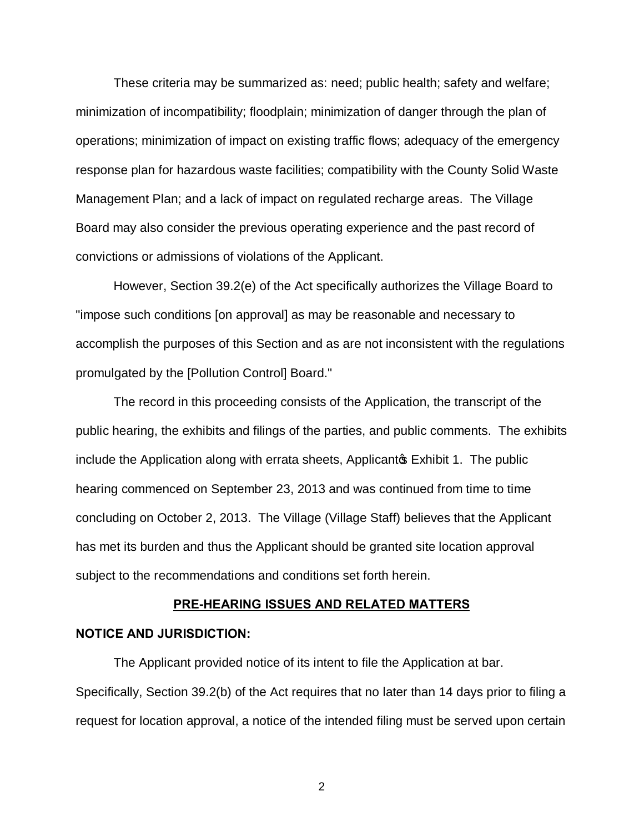These criteria may be summarized as: need; public health; safety and welfare; minimization of incompatibility; floodplain; minimization of danger through the plan of operations; minimization of impact on existing traffic flows; adequacy of the emergency response plan for hazardous waste facilities; compatibility with the County Solid Waste Management Plan; and a lack of impact on regulated recharge areas. The Village Board may also consider the previous operating experience and the past record of convictions or admissions of violations of the Applicant.

However, Section 39.2(e) of the Act specifically authorizes the Village Board to "impose such conditions [on approval] as may be reasonable and necessary to accomplish the purposes of this Section and as are not inconsistent with the regulations promulgated by the [Pollution Control] Board."

The record in this proceeding consists of the Application, the transcript of the public hearing, the exhibits and filings of the parties, and public comments. The exhibits include the Application along with errata sheets, Applicanto Exhibit 1. The public hearing commenced on September 23, 2013 and was continued from time to time concluding on October 2, 2013. The Village (Village Staff) believes that the Applicant has met its burden and thus the Applicant should be granted site location approval subject to the recommendations and conditions set forth herein.

#### **PRE-HEARING ISSUES AND RELATED MATTERS**

#### **NOTICE AND JURISDICTION:**

The Applicant provided notice of its intent to file the Application at bar. Specifically, Section 39.2(b) of the Act requires that no later than 14 days prior to filing a request for location approval, a notice of the intended filing must be served upon certain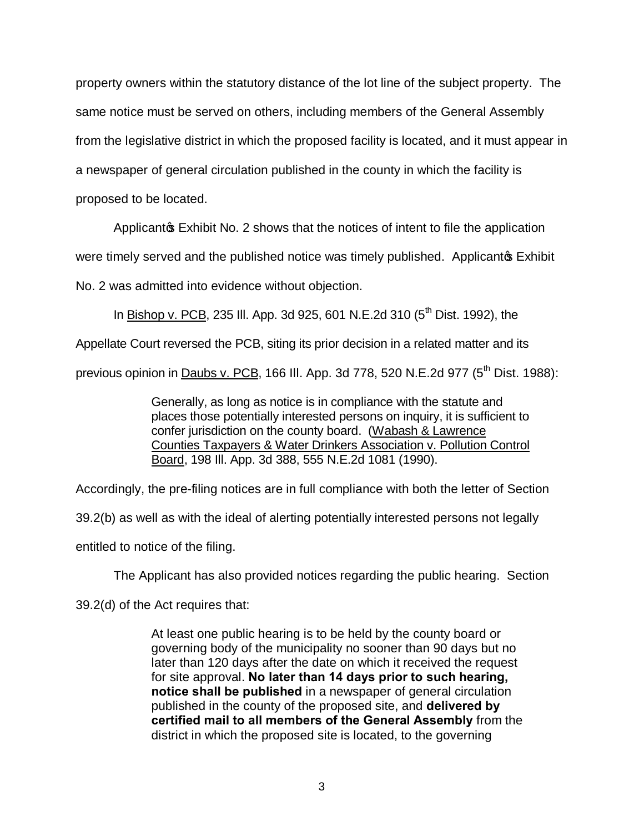property owners within the statutory distance of the lot line of the subject property. The same notice must be served on others, including members of the General Assembly from the legislative district in which the proposed facility is located, and it must appear in a newspaper of general circulation published in the county in which the facility is proposed to be located.

Applicanto Exhibit No. 2 shows that the notices of intent to file the application

were timely served and the published notice was timely published. Applicant **S** Exhibit

No. 2 was admitted into evidence without objection.

In Bishop v. PCB, 235 III. App. 3d 925, 601 N.E.2d 310 ( $5<sup>th</sup>$  Dist. 1992), the

Appellate Court reversed the PCB, siting its prior decision in a related matter and its

previous opinion in Daubs v. PCB, 166 III. App. 3d 778, 520 N.E.2d 977 (5<sup>th</sup> Dist. 1988):

Generally, as long as notice is in compliance with the statute and places those potentially interested persons on inquiry, it is sufficient to confer jurisdiction on the county board. (Wabash & Lawrence Counties Taxpayers & Water Drinkers Association v. Pollution Control Board, 198 Ill. App. 3d 388, 555 N.E.2d 1081 (1990).

Accordingly, the pre-filing notices are in full compliance with both the letter of Section

39.2(b) as well as with the ideal of alerting potentially interested persons not legally

entitled to notice of the filing.

The Applicant has also provided notices regarding the public hearing. Section

39.2(d) of the Act requires that:

At least one public hearing is to be held by the county board or governing body of the municipality no sooner than 90 days but no later than 120 days after the date on which it received the request for site approval. **No later than 14 days prior to such hearing, notice shall be published** in a newspaper of general circulation published in the county of the proposed site, and **delivered by certified mail to all members of the General Assembly** from the district in which the proposed site is located, to the governing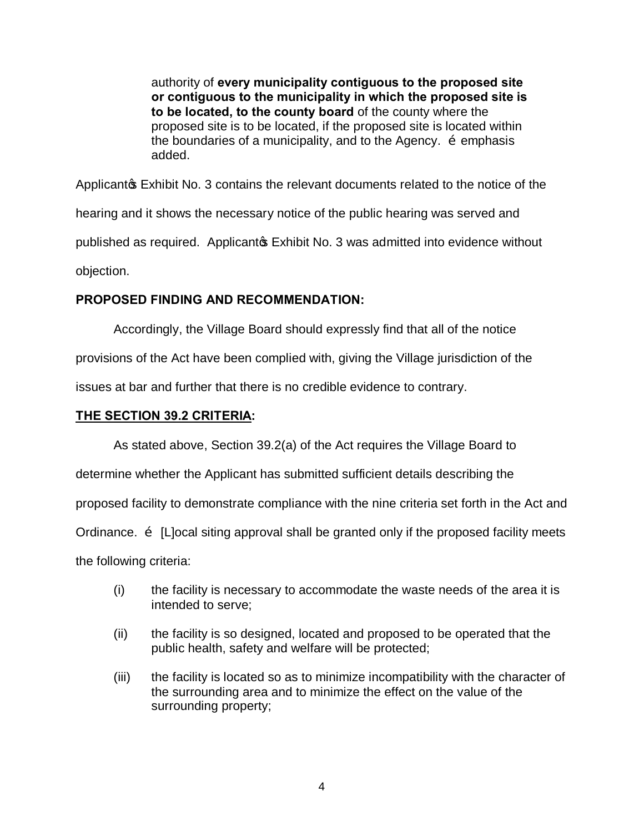authority of **every municipality contiguous to the proposed site or contiguous to the municipality in which the proposed site is to be located, to the county board** of the county where the proposed site is to be located, if the proposed site is located within the boundaries of a municipality, and to the Agency.  $\tilde{o}$  emphasis added.

Applicanto Exhibit No. 3 contains the relevant documents related to the notice of the hearing and it shows the necessary notice of the public hearing was served and published as required. Applicantos Exhibit No. 3 was admitted into evidence without objection.

# **PROPOSED FINDING AND RECOMMENDATION:**

Accordingly, the Village Board should expressly find that all of the notice

provisions of the Act have been complied with, giving the Village jurisdiction of the

issues at bar and further that there is no credible evidence to contrary.

# **THE SECTION 39.2 CRITERIA:**

As stated above, Section 39.2(a) of the Act requires the Village Board to

determine whether the Applicant has submitted sufficient details describing the

proposed facility to demonstrate compliance with the nine criteria set forth in the Act and

Ordinance.  $\ddot{\text{o}}$  [L]ocal siting approval shall be granted only if the proposed facility meets

the following criteria:

- (i) the facility is necessary to accommodate the waste needs of the area it is intended to serve;
- (ii) the facility is so designed, located and proposed to be operated that the public health, safety and welfare will be protected;
- (iii) the facility is located so as to minimize incompatibility with the character of the surrounding area and to minimize the effect on the value of the surrounding property;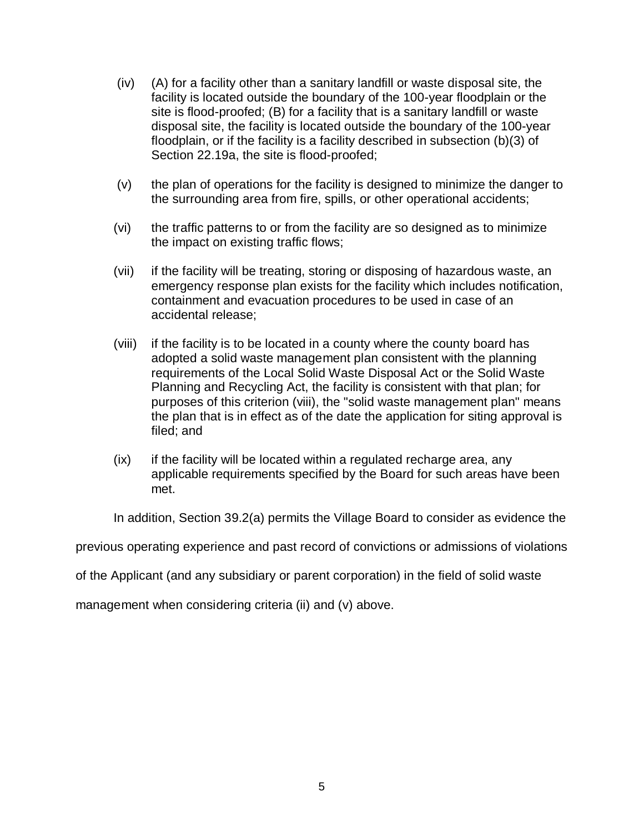- (iv) (A) for a facility other than a sanitary landfill or waste disposal site, the facility is located outside the boundary of the 100-year floodplain or the site is flood-proofed; (B) for a facility that is a sanitary landfill or waste disposal site, the facility is located outside the boundary of the 100-year floodplain, or if the facility is a facility described in subsection (b)(3) of Section 22.19a, the site is flood-proofed;
- (v) the plan of operations for the facility is designed to minimize the danger to the surrounding area from fire, spills, or other operational accidents;
- (vi) the traffic patterns to or from the facility are so designed as to minimize the impact on existing traffic flows;
- (vii) if the facility will be treating, storing or disposing of hazardous waste, an emergency response plan exists for the facility which includes notification, containment and evacuation procedures to be used in case of an accidental release;
- (viii) if the facility is to be located in a county where the county board has adopted a solid waste management plan consistent with the planning requirements of the Local Solid Waste Disposal Act or the Solid Waste Planning and Recycling Act, the facility is consistent with that plan; for purposes of this criterion (viii), the "solid waste management plan" means the plan that is in effect as of the date the application for siting approval is filed; and
- (ix) if the facility will be located within a regulated recharge area, any applicable requirements specified by the Board for such areas have been met.

In addition, Section 39.2(a) permits the Village Board to consider as evidence the

previous operating experience and past record of convictions or admissions of violations

of the Applicant (and any subsidiary or parent corporation) in the field of solid waste

management when considering criteria (ii) and (v) above.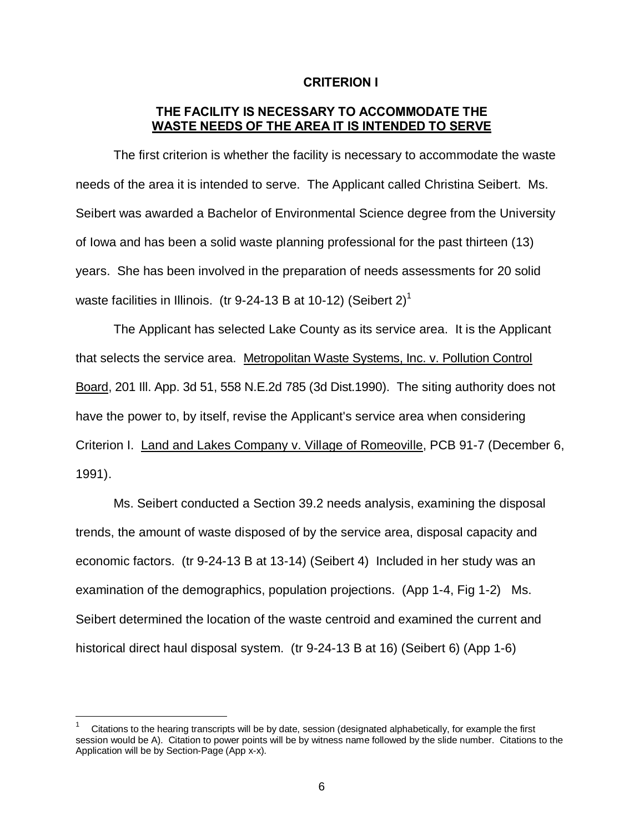## **CRITERION I**

## **THE FACILITY IS NECESSARY TO ACCOMMODATE THE WASTE NEEDS OF THE AREA IT IS INTENDED TO SERVE**

The first criterion is whether the facility is necessary to accommodate the waste needs of the area it is intended to serve. The Applicant called Christina Seibert. Ms. Seibert was awarded a Bachelor of Environmental Science degree from the University of Iowa and has been a solid waste planning professional for the past thirteen (13) years. She has been involved in the preparation of needs assessments for 20 solid waste facilities in Illinois. (tr 9-24-13 B at 10-12) (Seibert 2)<sup>1</sup>

The Applicant has selected Lake County as its service area. It is the Applicant that selects the service area. Metropolitan Waste Systems, Inc. v. Pollution Control Board, 201 Ill. App. 3d 51, 558 N.E.2d 785 (3d Dist.1990). The siting authority does not have the power to, by itself, revise the Applicant's service area when considering Criterion I. Land and Lakes Company v. Village of Romeoville, PCB 91-7 (December 6, 1991).

Ms. Seibert conducted a Section 39.2 needs analysis, examining the disposal trends, the amount of waste disposed of by the service area, disposal capacity and economic factors. (tr 9-24-13 B at 13-14) (Seibert 4) Included in her study was an examination of the demographics, population projections. (App 1-4, Fig 1-2) Ms. Seibert determined the location of the waste centroid and examined the current and historical direct haul disposal system. (tr 9-24-13 B at 16) (Seibert 6) (App 1-6)

 $\frac{1}{1}$  Citations to the hearing transcripts will be by date, session (designated alphabetically, for example the first session would be A). Citation to power points will be by witness name followed by the slide number. Citations to the Application will be by Section-Page (App x-x).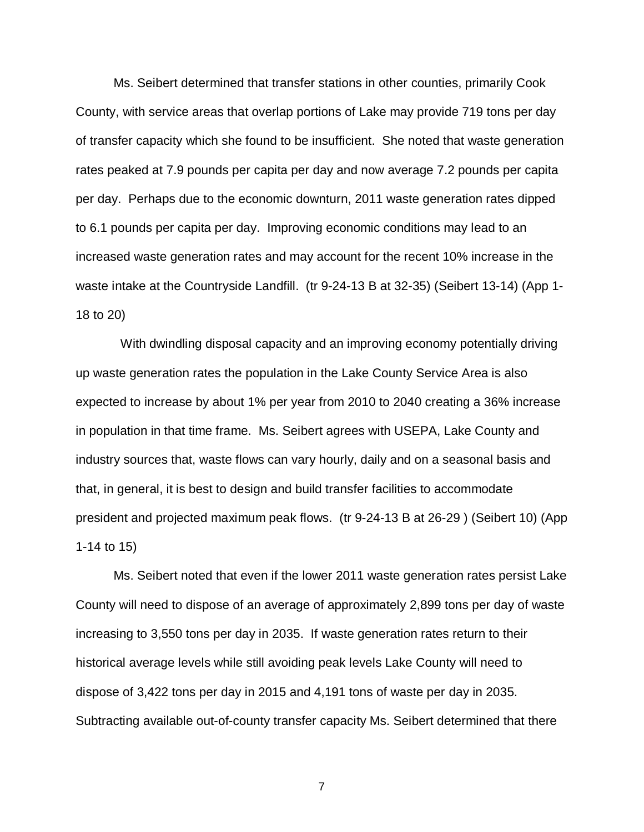Ms. Seibert determined that transfer stations in other counties, primarily Cook County, with service areas that overlap portions of Lake may provide 719 tons per day of transfer capacity which she found to be insufficient. She noted that waste generation rates peaked at 7.9 pounds per capita per day and now average 7.2 pounds per capita per day. Perhaps due to the economic downturn, 2011 waste generation rates dipped to 6.1 pounds per capita per day. Improving economic conditions may lead to an increased waste generation rates and may account for the recent 10% increase in the waste intake at the Countryside Landfill. (tr 9-24-13 B at 32-35) (Seibert 13-14) (App 1- 18 to 20)

 With dwindling disposal capacity and an improving economy potentially driving up waste generation rates the population in the Lake County Service Area is also expected to increase by about 1% per year from 2010 to 2040 creating a 36% increase in population in that time frame. Ms. Seibert agrees with USEPA, Lake County and industry sources that, waste flows can vary hourly, daily and on a seasonal basis and that, in general, it is best to design and build transfer facilities to accommodate president and projected maximum peak flows. (tr 9-24-13 B at 26-29 ) (Seibert 10) (App 1-14 to 15)

Ms. Seibert noted that even if the lower 2011 waste generation rates persist Lake County will need to dispose of an average of approximately 2,899 tons per day of waste increasing to 3,550 tons per day in 2035. If waste generation rates return to their historical average levels while still avoiding peak levels Lake County will need to dispose of 3,422 tons per day in 2015 and 4,191 tons of waste per day in 2035. Subtracting available out-of-county transfer capacity Ms. Seibert determined that there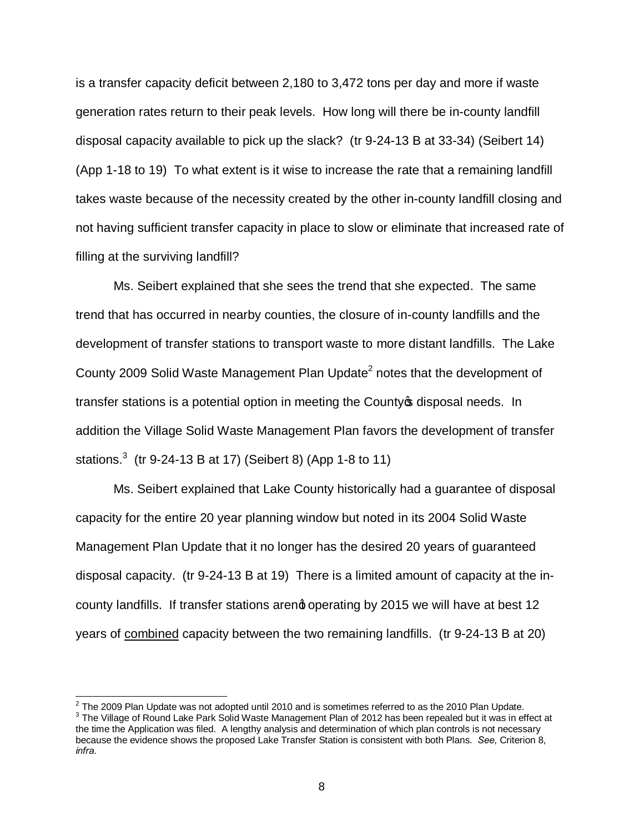is a transfer capacity deficit between 2,180 to 3,472 tons per day and more if waste generation rates return to their peak levels. How long will there be in-county landfill disposal capacity available to pick up the slack? (tr 9-24-13 B at 33-34) (Seibert 14) (App 1-18 to 19) To what extent is it wise to increase the rate that a remaining landfill takes waste because of the necessity created by the other in-county landfill closing and not having sufficient transfer capacity in place to slow or eliminate that increased rate of filling at the surviving landfill?

Ms. Seibert explained that she sees the trend that she expected. The same trend that has occurred in nearby counties, the closure of in-county landfills and the development of transfer stations to transport waste to more distant landfills. The Lake County 2009 Solid Waste Management Plan Update<sup>2</sup> notes that the development of transfer stations is a potential option in meeting the County of disposal needs. In addition the Village Solid Waste Management Plan favors the development of transfer stations. $3$  (tr 9-24-13 B at 17) (Seibert 8) (App 1-8 to 11)

Ms. Seibert explained that Lake County historically had a guarantee of disposal capacity for the entire 20 year planning window but noted in its 2004 Solid Waste Management Plan Update that it no longer has the desired 20 years of guaranteed disposal capacity. (tr 9-24-13 B at 19) There is a limited amount of capacity at the incounty landfills. If transfer stations areng operating by 2015 we will have at best 12 years of combined capacity between the two remaining landfills. (tr 9-24-13 B at 20)

<sup>&</sup>lt;sup>2</sup> The 2009 Plan Update was not adopted until 2010 and is sometimes referred to as the 2010 Plan Update.<br><sup>3</sup> The Village of Round Lake Park Solid Waste Management Plan of 2012 has been repealed but it was in effect at the time the Application was filed. A lengthy analysis and determination of which plan controls is not necessary because the evidence shows the proposed Lake Transfer Station is consistent with both Plans. *See*, Criterion 8, *infra.*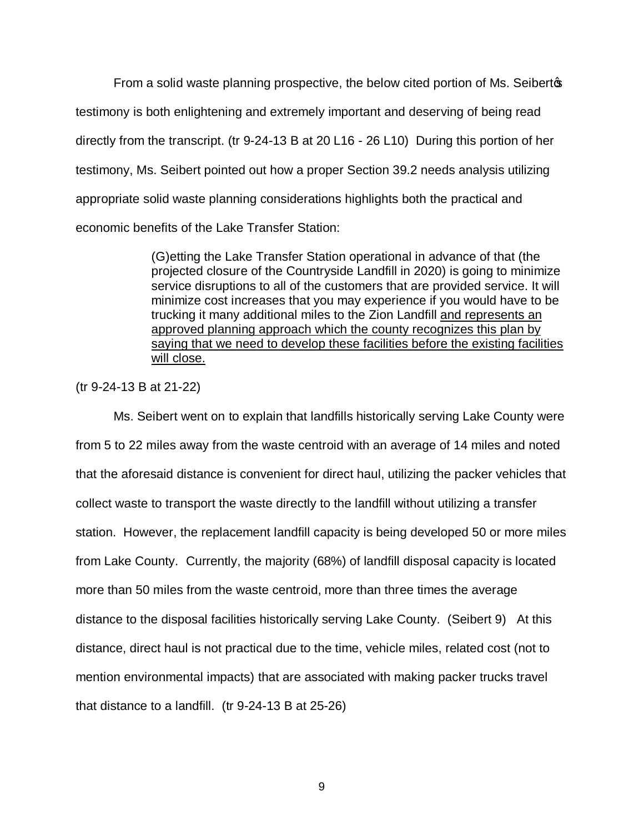From a solid waste planning prospective, the below cited portion of Ms. Seibertos testimony is both enlightening and extremely important and deserving of being read directly from the transcript. (tr 9-24-13 B at 20 L16 - 26 L10) During this portion of her testimony, Ms. Seibert pointed out how a proper Section 39.2 needs analysis utilizing appropriate solid waste planning considerations highlights both the practical and economic benefits of the Lake Transfer Station:

> (G)etting the Lake Transfer Station operational in advance of that (the projected closure of the Countryside Landfill in 2020) is going to minimize service disruptions to all of the customers that are provided service. It will minimize cost increases that you may experience if you would have to be trucking it many additional miles to the Zion Landfill and represents an approved planning approach which the county recognizes this plan by saying that we need to develop these facilities before the existing facilities will close.

(tr 9-24-13 B at 21-22)

Ms. Seibert went on to explain that landfills historically serving Lake County were from 5 to 22 miles away from the waste centroid with an average of 14 miles and noted that the aforesaid distance is convenient for direct haul, utilizing the packer vehicles that collect waste to transport the waste directly to the landfill without utilizing a transfer station. However, the replacement landfill capacity is being developed 50 or more miles from Lake County. Currently, the majority (68%) of landfill disposal capacity is located more than 50 miles from the waste centroid, more than three times the average distance to the disposal facilities historically serving Lake County. (Seibert 9) At this distance, direct haul is not practical due to the time, vehicle miles, related cost (not to mention environmental impacts) that are associated with making packer trucks travel that distance to a landfill. (tr 9-24-13 B at 25-26)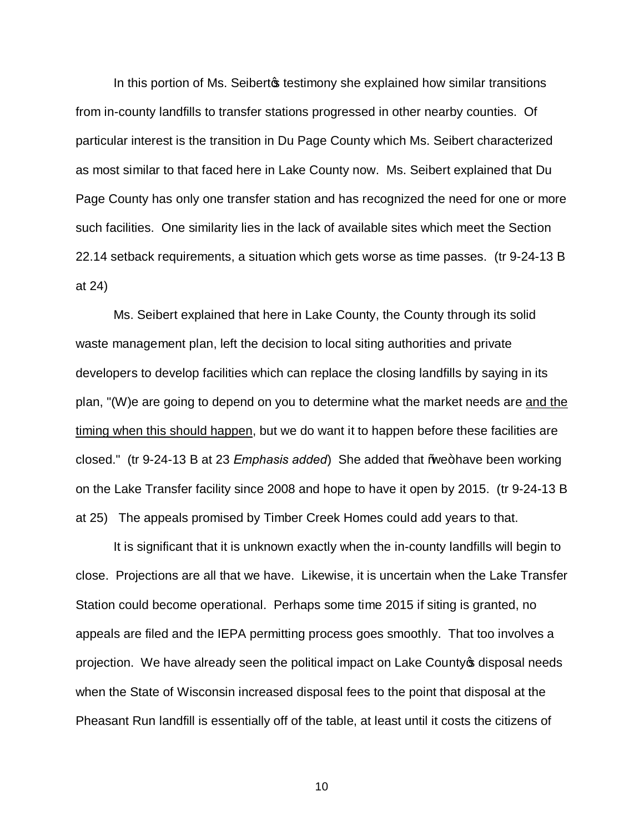In this portion of Ms. Seibert testimony she explained how similar transitions from in-county landfills to transfer stations progressed in other nearby counties. Of particular interest is the transition in Du Page County which Ms. Seibert characterized as most similar to that faced here in Lake County now. Ms. Seibert explained that Du Page County has only one transfer station and has recognized the need for one or more such facilities. One similarity lies in the lack of available sites which meet the Section 22.14 setback requirements, a situation which gets worse as time passes. (tr 9-24-13 B at 24)

Ms. Seibert explained that here in Lake County, the County through its solid waste management plan, left the decision to local siting authorities and private developers to develop facilities which can replace the closing landfills by saying in its plan, "(W)e are going to depend on you to determine what the market needs are and the timing when this should happen, but we do want it to happen before these facilities are closed." (tr 9-24-13 B at 23 *Emphasis added*) She added that Wee+have been working on the Lake Transfer facility since 2008 and hope to have it open by 2015. (tr 9-24-13 B at 25) The appeals promised by Timber Creek Homes could add years to that.

It is significant that it is unknown exactly when the in-county landfills will begin to close. Projections are all that we have. Likewise, it is uncertain when the Lake Transfer Station could become operational. Perhaps some time 2015 if siting is granted, no appeals are filed and the IEPA permitting process goes smoothly. That too involves a projection. We have already seen the political impact on Lake County of disposal needs when the State of Wisconsin increased disposal fees to the point that disposal at the Pheasant Run landfill is essentially off of the table, at least until it costs the citizens of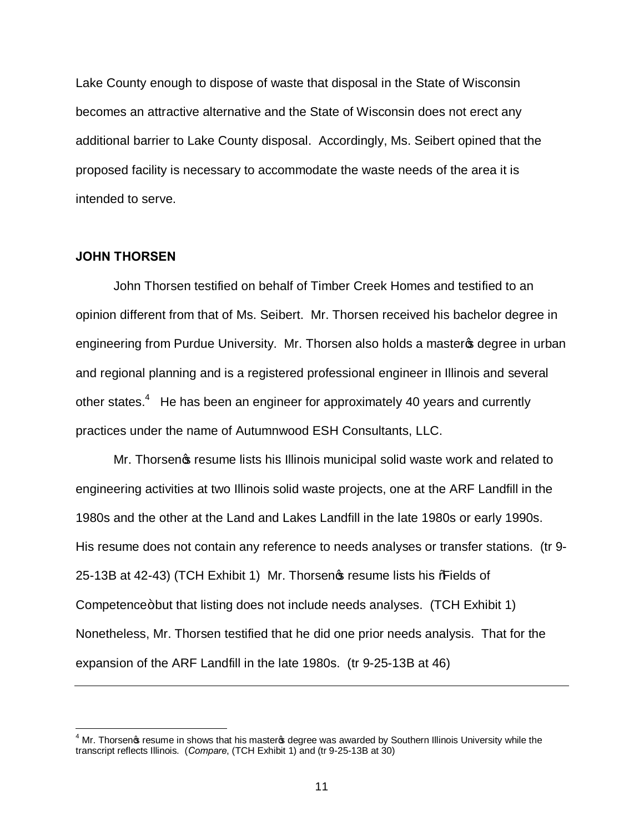Lake County enough to dispose of waste that disposal in the State of Wisconsin becomes an attractive alternative and the State of Wisconsin does not erect any additional barrier to Lake County disposal. Accordingly, Ms. Seibert opined that the proposed facility is necessary to accommodate the waste needs of the area it is intended to serve.

## **JOHN THORSEN**

John Thorsen testified on behalf of Timber Creek Homes and testified to an opinion different from that of Ms. Seibert. Mr. Thorsen received his bachelor degree in engineering from Purdue University. Mr. Thorsen also holds a master of degree in urban and regional planning and is a registered professional engineer in Illinois and several other states.<sup>4</sup> He has been an engineer for approximately 40 years and currently practices under the name of Autumnwood ESH Consultants, LLC.

Mr. Thorsen's resume lists his Illinois municipal solid waste work and related to engineering activities at two Illinois solid waste projects, one at the ARF Landfill in the 1980s and the other at the Land and Lakes Landfill in the late 1980s or early 1990s. His resume does not contain any reference to needs analyses or transfer stations. (tr 9- 25-13B at 42-43) (TCH Exhibit 1) Mr. Thorsen of resume lists his %Fields of Competence+but that listing does not include needs analyses. (TCH Exhibit 1) Nonetheless, Mr. Thorsen testified that he did one prior needs analysis. That for the expansion of the ARF Landfill in the late 1980s. (tr 9-25-13B at 46)

 $4$  Mr. Thorsen $\infty$  resume in shows that his master $\infty$  degree was awarded by Southern Illinois University while the transcript reflects Illinois. (*Compare*, (TCH Exhibit 1) and (tr 9-25-13B at 30)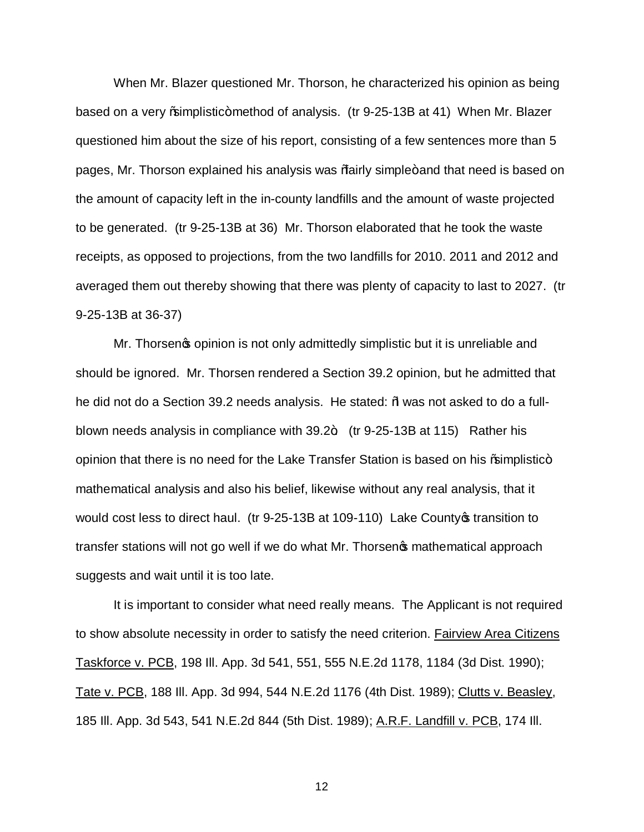When Mr. Blazer questioned Mr. Thorson, he characterized his opinion as being based on a very % amplistic+method of analysis. (tr 9-25-13B at 41) When Mr. Blazer questioned him about the size of his report, consisting of a few sentences more than 5 pages, Mr. Thorson explained his analysis was %airly simple+ and that need is based on the amount of capacity left in the in-county landfills and the amount of waste projected to be generated. (tr 9-25-13B at 36) Mr. Thorson elaborated that he took the waste receipts, as opposed to projections, from the two landfills for 2010. 2011 and 2012 and averaged them out thereby showing that there was plenty of capacity to last to 2027. (tr 9-25-13B at 36-37)

Mr. Thorsen as opinion is not only admittedly simplistic but it is unreliable and should be ignored. Mr. Thorsen rendered a Section 39.2 opinion, but he admitted that he did not do a Section 39.2 needs analysis. He stated:  $%$  was not asked to do a fullblown needs analysis in compliance with  $39.2 +$  (tr 9-25-13B at 115) Rather his opinion that there is no need for the Lake Transfer Station is based on his % amplistic+ mathematical analysis and also his belief, likewise without any real analysis, that it would cost less to direct haul. (tr 9-25-13B at 109-110) Lake County of transition to transfer stations will not go well if we do what Mr. Thorsen opmathematical approach suggests and wait until it is too late.

It is important to consider what need really means. The Applicant is not required to show absolute necessity in order to satisfy the need criterion. Fairview Area Citizens Taskforce v. PCB, 198 Ill. App. 3d 541, 551, 555 N.E.2d 1178, 1184 (3d Dist. 1990); Tate v. PCB, 188 III. App. 3d 994, 544 N.E.2d 1176 (4th Dist. 1989); Clutts v. Beasley, 185 Ill. App. 3d 543, 541 N.E.2d 844 (5th Dist. 1989); A.R.F. Landfill v. PCB, 174 Ill.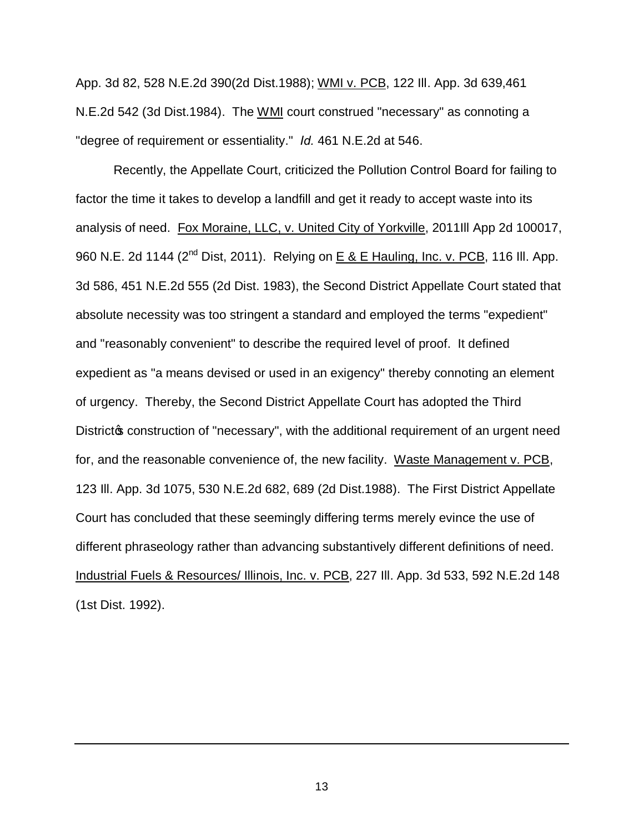App. 3d 82, 528 N.E.2d 390(2d Dist.1988); WMI v. PCB, 122 Ill. App. 3d 639,461 N.E.2d 542 (3d Dist.1984). The WMI court construed "necessary" as connoting a "degree of requirement or essentiality." *Id.* 461 N.E.2d at 546.

Recently, the Appellate Court, criticized the Pollution Control Board for failing to factor the time it takes to develop a landfill and get it ready to accept waste into its analysis of need. Fox Moraine, LLC, v. United City of Yorkville, 2011Ill App 2d 100017, 960 N.E. 2d 1144 (2<sup>nd</sup> Dist, 2011). Relying on E & E Hauling, Inc. v. PCB, 116 III. App. 3d 586, 451 N.E.2d 555 (2d Dist. 1983), the Second District Appellate Court stated that absolute necessity was too stringent a standard and employed the terms "expedient" and "reasonably convenient" to describe the required level of proof. It defined expedient as "a means devised or used in an exigency" thereby connoting an element of urgency. Thereby, the Second District Appellate Court has adopted the Third District to construction of "necessary", with the additional requirement of an urgent need for, and the reasonable convenience of, the new facility. Waste Management v. PCB, 123 Ill. App. 3d 1075, 530 N.E.2d 682, 689 (2d Dist.1988). The First District Appellate Court has concluded that these seemingly differing terms merely evince the use of different phraseology rather than advancing substantively different definitions of need. Industrial Fuels & Resources/ Illinois, Inc. v. PCB, 227 Ill. App. 3d 533, 592 N.E.2d 148 (1st Dist. 1992).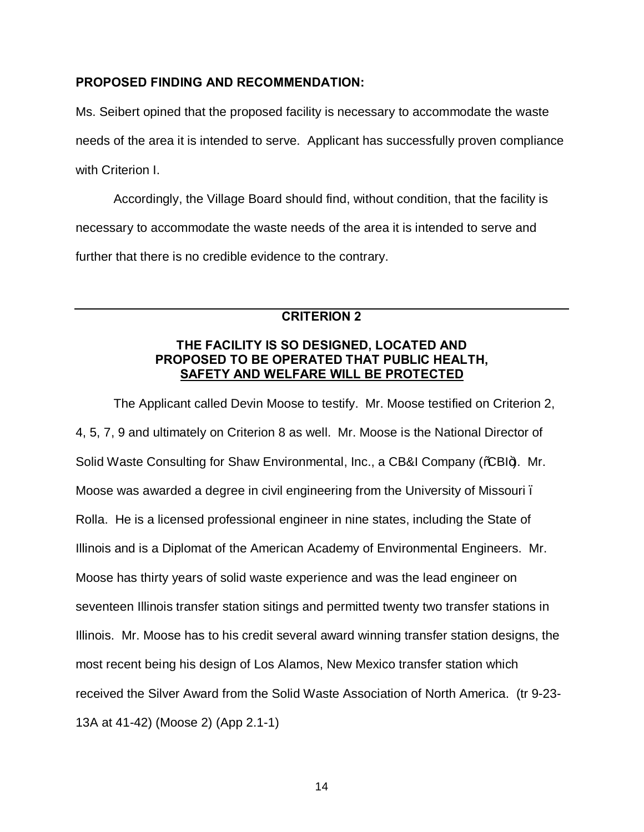## **PROPOSED FINDING AND RECOMMENDATION:**

Ms. Seibert opined that the proposed facility is necessary to accommodate the waste needs of the area it is intended to serve. Applicant has successfully proven compliance with Criterion I.

Accordingly, the Village Board should find, without condition, that the facility is necessary to accommodate the waste needs of the area it is intended to serve and further that there is no credible evidence to the contrary.

# **CRITERION 2**

## **THE FACILITY IS SO DESIGNED, LOCATED AND PROPOSED TO BE OPERATED THAT PUBLIC HEALTH, SAFETY AND WELFARE WILL BE PROTECTED**

The Applicant called Devin Moose to testify. Mr. Moose testified on Criterion 2, 4, 5, 7, 9 and ultimately on Criterion 8 as well. Mr. Moose is the National Director of Solid Waste Consulting for Shaw Environmental, Inc., a CB&I Company (% BI+). Mr. Moose was awarded a degree in civil engineering from the University of Missouri – Rolla. He is a licensed professional engineer in nine states, including the State of Illinois and is a Diplomat of the American Academy of Environmental Engineers. Mr. Moose has thirty years of solid waste experience and was the lead engineer on seventeen Illinois transfer station sitings and permitted twenty two transfer stations in Illinois. Mr. Moose has to his credit several award winning transfer station designs, the most recent being his design of Los Alamos, New Mexico transfer station which received the Silver Award from the Solid Waste Association of North America. (tr 9-23- 13A at 41-42) (Moose 2) (App 2.1-1)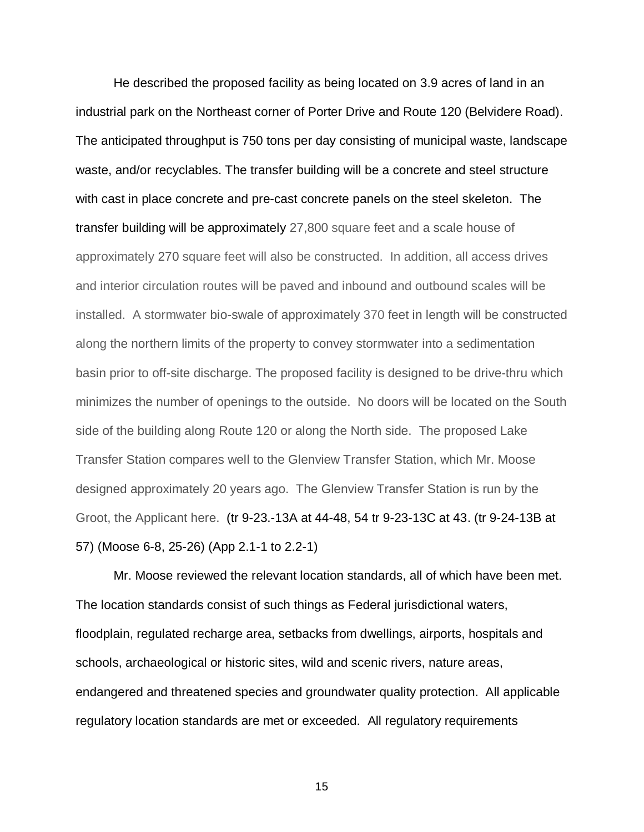He described the proposed facility as being located on 3.9 acres of land in an industrial park on the Northeast corner of Porter Drive and Route 120 (Belvidere Road). The anticipated throughput is 750 tons per day consisting of municipal waste, landscape waste, and/or recyclables. The transfer building will be a concrete and steel structure with cast in place concrete and pre-cast concrete panels on the steel skeleton. The transfer building will be approximately 27,800 square feet and a scale house of approximately 270 square feet will also be constructed. In addition, all access drives and interior circulation routes will be paved and inbound and outbound scales will be installed. A stormwater bio-swale of approximately 370 feet in length will be constructed along the northern limits of the property to convey stormwater into a sedimentation basin prior to off-site discharge. The proposed facility is designed to be drive-thru which minimizes the number of openings to the outside. No doors will be located on the South side of the building along Route 120 or along the North side. The proposed Lake Transfer Station compares well to the Glenview Transfer Station, which Mr. Moose designed approximately 20 years ago. The Glenview Transfer Station is run by the Groot, the Applicant here. (tr 9-23.-13A at 44-48, 54 tr 9-23-13C at 43. (tr 9-24-13B at 57) (Moose 6-8, 25-26) (App 2.1-1 to 2.2-1)

Mr. Moose reviewed the relevant location standards, all of which have been met. The location standards consist of such things as Federal jurisdictional waters, floodplain, regulated recharge area, setbacks from dwellings, airports, hospitals and schools, archaeological or historic sites, wild and scenic rivers, nature areas, endangered and threatened species and groundwater quality protection. All applicable regulatory location standards are met or exceeded. All regulatory requirements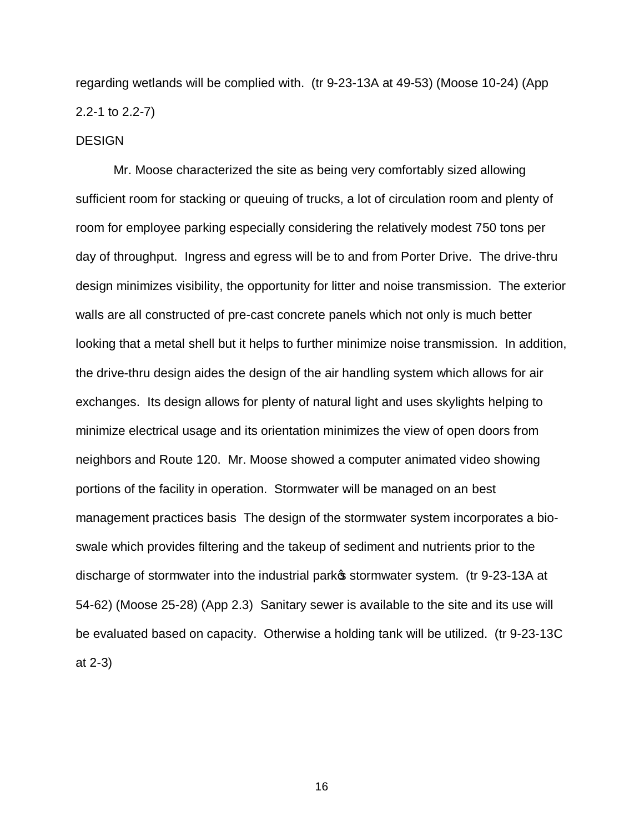regarding wetlands will be complied with. (tr 9-23-13A at 49-53) (Moose 10-24) (App 2.2-1 to 2.2-7)

#### **DESIGN**

Mr. Moose characterized the site as being very comfortably sized allowing sufficient room for stacking or queuing of trucks, a lot of circulation room and plenty of room for employee parking especially considering the relatively modest 750 tons per day of throughput. Ingress and egress will be to and from Porter Drive. The drive-thru design minimizes visibility, the opportunity for litter and noise transmission. The exterior walls are all constructed of pre-cast concrete panels which not only is much better looking that a metal shell but it helps to further minimize noise transmission. In addition, the drive-thru design aides the design of the air handling system which allows for air exchanges. Its design allows for plenty of natural light and uses skylights helping to minimize electrical usage and its orientation minimizes the view of open doors from neighbors and Route 120. Mr. Moose showed a computer animated video showing portions of the facility in operation. Stormwater will be managed on an best management practices basis The design of the stormwater system incorporates a bioswale which provides filtering and the takeup of sediment and nutrients prior to the discharge of stormwater into the industrial parkos stormwater system. (tr 9-23-13A at 54-62) (Moose 25-28) (App 2.3) Sanitary sewer is available to the site and its use will be evaluated based on capacity. Otherwise a holding tank will be utilized. (tr 9-23-13C at 2-3)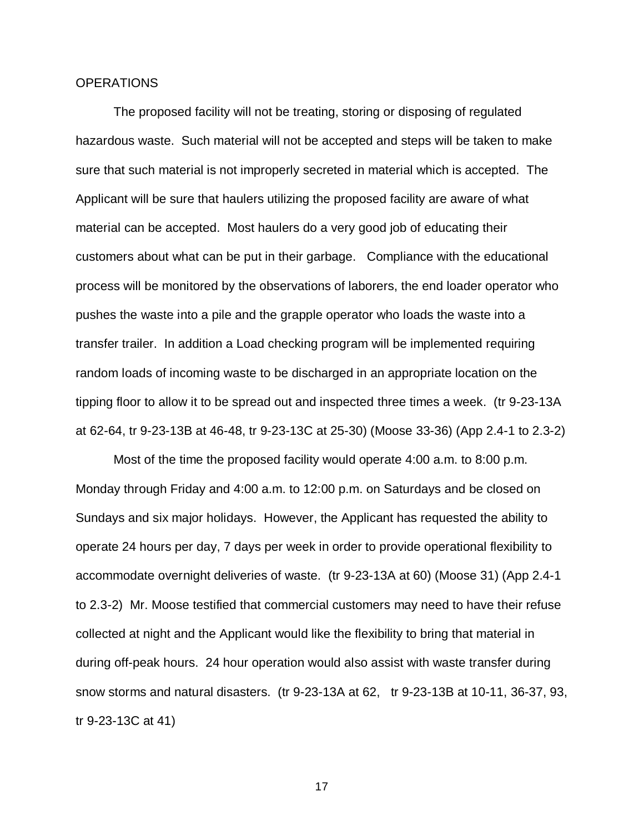#### **OPERATIONS**

The proposed facility will not be treating, storing or disposing of regulated hazardous waste. Such material will not be accepted and steps will be taken to make sure that such material is not improperly secreted in material which is accepted. The Applicant will be sure that haulers utilizing the proposed facility are aware of what material can be accepted. Most haulers do a very good job of educating their customers about what can be put in their garbage. Compliance with the educational process will be monitored by the observations of laborers, the end loader operator who pushes the waste into a pile and the grapple operator who loads the waste into a transfer trailer. In addition a Load checking program will be implemented requiring random loads of incoming waste to be discharged in an appropriate location on the tipping floor to allow it to be spread out and inspected three times a week. (tr 9-23-13A at 62-64, tr 9-23-13B at 46-48, tr 9-23-13C at 25-30) (Moose 33-36) (App 2.4-1 to 2.3-2)

Most of the time the proposed facility would operate 4:00 a.m. to 8:00 p.m. Monday through Friday and 4:00 a.m. to 12:00 p.m. on Saturdays and be closed on Sundays and six major holidays. However, the Applicant has requested the ability to operate 24 hours per day, 7 days per week in order to provide operational flexibility to accommodate overnight deliveries of waste. (tr 9-23-13A at 60) (Moose 31) (App 2.4-1 to 2.3-2) Mr. Moose testified that commercial customers may need to have their refuse collected at night and the Applicant would like the flexibility to bring that material in during off-peak hours. 24 hour operation would also assist with waste transfer during snow storms and natural disasters. (tr 9-23-13A at 62, tr 9-23-13B at 10-11, 36-37, 93, tr 9-23-13C at 41)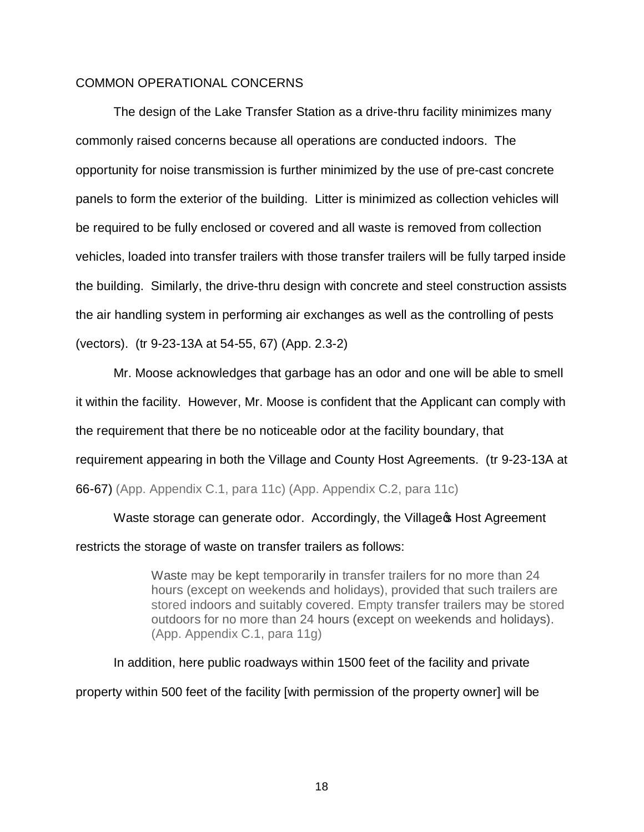## COMMON OPERATIONAL CONCERNS

The design of the Lake Transfer Station as a drive-thru facility minimizes many commonly raised concerns because all operations are conducted indoors. The opportunity for noise transmission is further minimized by the use of pre-cast concrete panels to form the exterior of the building. Litter is minimized as collection vehicles will be required to be fully enclosed or covered and all waste is removed from collection vehicles, loaded into transfer trailers with those transfer trailers will be fully tarped inside the building. Similarly, the drive-thru design with concrete and steel construction assists the air handling system in performing air exchanges as well as the controlling of pests (vectors). (tr 9-23-13A at 54-55, 67) (App. 2.3-2)

Mr. Moose acknowledges that garbage has an odor and one will be able to smell it within the facility. However, Mr. Moose is confident that the Applicant can comply with the requirement that there be no noticeable odor at the facility boundary, that requirement appearing in both the Village and County Host Agreements. (tr 9-23-13A at 66-67) (App. Appendix C.1, para 11c) (App. Appendix C.2, para 11c)

Waste storage can generate odor. Accordingly, the Village & Host Agreement restricts the storage of waste on transfer trailers as follows:

> Waste may be kept temporarily in transfer trailers for no more than 24 hours (except on weekends and holidays), provided that such trailers are stored indoors and suitably covered. Empty transfer trailers may be stored outdoors for no more than 24 hours (except on weekends and holidays). (App. Appendix C.1, para 11g)

In addition, here public roadways within 1500 feet of the facility and private property within 500 feet of the facility [with permission of the property owner] will be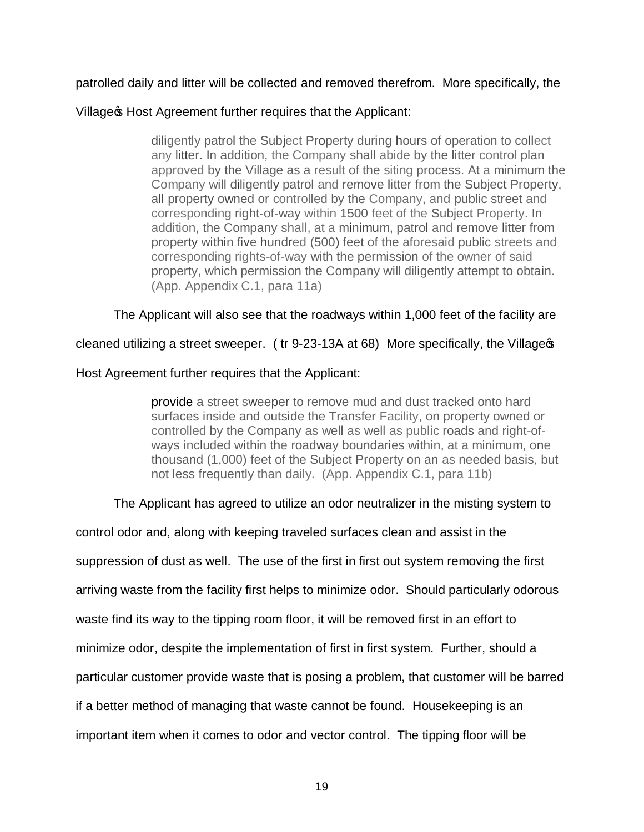# patrolled daily and litter will be collected and removed therefrom. More specifically, the

## Village & Host Agreement further requires that the Applicant:

diligently patrol the Subject Property during hours of operation to collect any litter. In addition, the Company shall abide by the litter control plan approved by the Village as a result of the siting process. At a minimum the Company will diligently patrol and remove litter from the Subject Property, all property owned or controlled by the Company, and public street and corresponding right-of-way within 1500 feet of the Subject Property. In addition, the Company shall, at a minimum, patrol and remove litter from property within five hundred (500) feet of the aforesaid public streets and corresponding rights-of-way with the permission of the owner of said property, which permission the Company will diligently attempt to obtain. (App. Appendix C.1, para 11a)

The Applicant will also see that the roadways within 1,000 feet of the facility are

cleaned utilizing a street sweeper. ( tr 9-23-13A at 68) More specifically, the Village's

# Host Agreement further requires that the Applicant:

provide a street sweeper to remove mud and dust tracked onto hard surfaces inside and outside the Transfer Facility, on property owned or controlled by the Company as well as well as public roads and right-ofways included within the roadway boundaries within, at a minimum, one thousand (1,000) feet of the Subject Property on an as needed basis, but not less frequently than daily. (App. Appendix C.1, para 11b)

# The Applicant has agreed to utilize an odor neutralizer in the misting system to

control odor and, along with keeping traveled surfaces clean and assist in the suppression of dust as well. The use of the first in first out system removing the first arriving waste from the facility first helps to minimize odor. Should particularly odorous waste find its way to the tipping room floor, it will be removed first in an effort to minimize odor, despite the implementation of first in first system. Further, should a particular customer provide waste that is posing a problem, that customer will be barred if a better method of managing that waste cannot be found. Housekeeping is an important item when it comes to odor and vector control. The tipping floor will be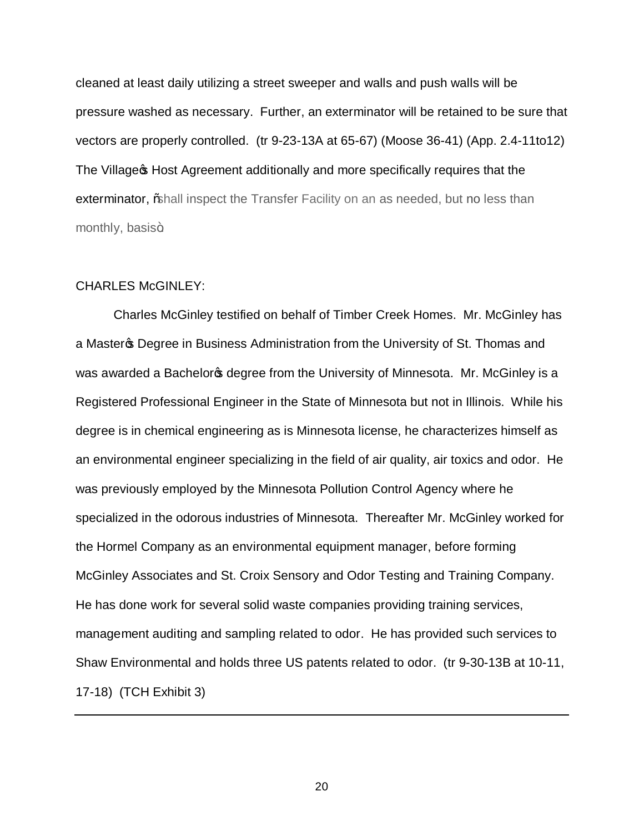cleaned at least daily utilizing a street sweeper and walls and push walls will be pressure washed as necessary. Further, an exterminator will be retained to be sure that vectors are properly controlled. (tr 9-23-13A at 65-67) (Moose 36-41) (App. 2.4-11to12) The Village **S** Host Agreement additionally and more specifically requires that the exterminator, % hall inspect the Transfer Facility on an as needed, but no less than monthly, basis+

#### CHARLES McGINLEY:

Charles McGinley testified on behalf of Timber Creek Homes. Mr. McGinley has a Master **S** Degree in Business Administration from the University of St. Thomas and was awarded a Bachelor ps degree from the University of Minnesota. Mr. McGinley is a Registered Professional Engineer in the State of Minnesota but not in Illinois. While his degree is in chemical engineering as is Minnesota license, he characterizes himself as an environmental engineer specializing in the field of air quality, air toxics and odor. He was previously employed by the Minnesota Pollution Control Agency where he specialized in the odorous industries of Minnesota. Thereafter Mr. McGinley worked for the Hormel Company as an environmental equipment manager, before forming McGinley Associates and St. Croix Sensory and Odor Testing and Training Company. He has done work for several solid waste companies providing training services, management auditing and sampling related to odor. He has provided such services to Shaw Environmental and holds three US patents related to odor. (tr 9-30-13B at 10-11, 17-18) (TCH Exhibit 3)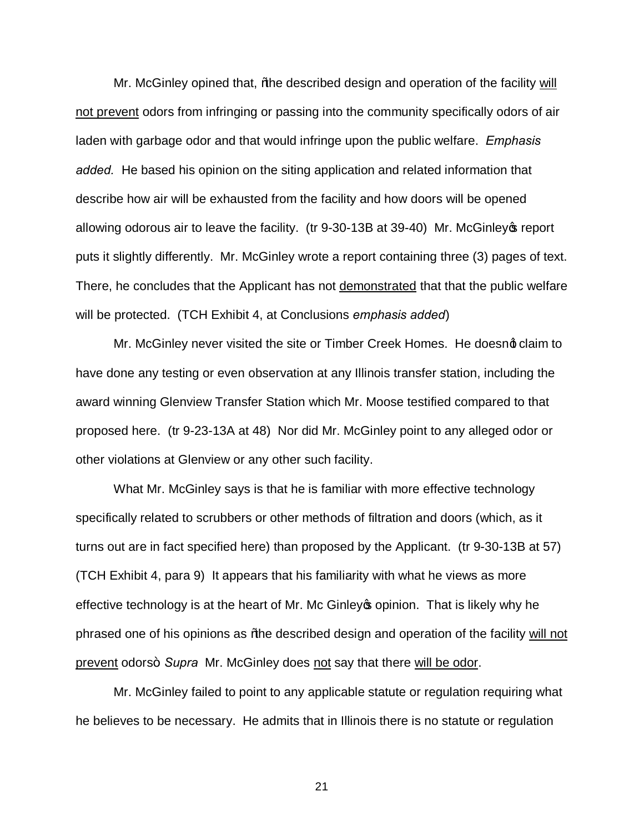Mr. McGinley opined that, % he described design and operation of the facility will not prevent odors from infringing or passing into the community specifically odors of air laden with garbage odor and that would infringe upon the public welfare. *Emphasis added.* He based his opinion on the siting application and related information that describe how air will be exhausted from the facility and how doors will be opened allowing odorous air to leave the facility. (tr 9-30-13B at 39-40) Mr. McGinley of report puts it slightly differently. Mr. McGinley wrote a report containing three (3) pages of text. There, he concludes that the Applicant has not demonstrated that that the public welfare will be protected. (TCH Exhibit 4, at Conclusions *emphasis added*)

Mr. McGinley never visited the site or Timber Creek Homes. He doesnot claim to have done any testing or even observation at any Illinois transfer station, including the award winning Glenview Transfer Station which Mr. Moose testified compared to that proposed here. (tr 9-23-13A at 48) Nor did Mr. McGinley point to any alleged odor or other violations at Glenview or any other such facility.

What Mr. McGinley says is that he is familiar with more effective technology specifically related to scrubbers or other methods of filtration and doors (which, as it turns out are in fact specified here) than proposed by the Applicant. (tr 9-30-13B at 57) (TCH Exhibit 4, para 9) It appears that his familiarity with what he views as more effective technology is at the heart of Mr. Mc Ginley opinion. That is likely why he phrased one of his opinions as % the described design and operation of the facility will not prevent odors+ Supra Mr. McGinley does not say that there will be odor.

Mr. McGinley failed to point to any applicable statute or regulation requiring what he believes to be necessary. He admits that in Illinois there is no statute or regulation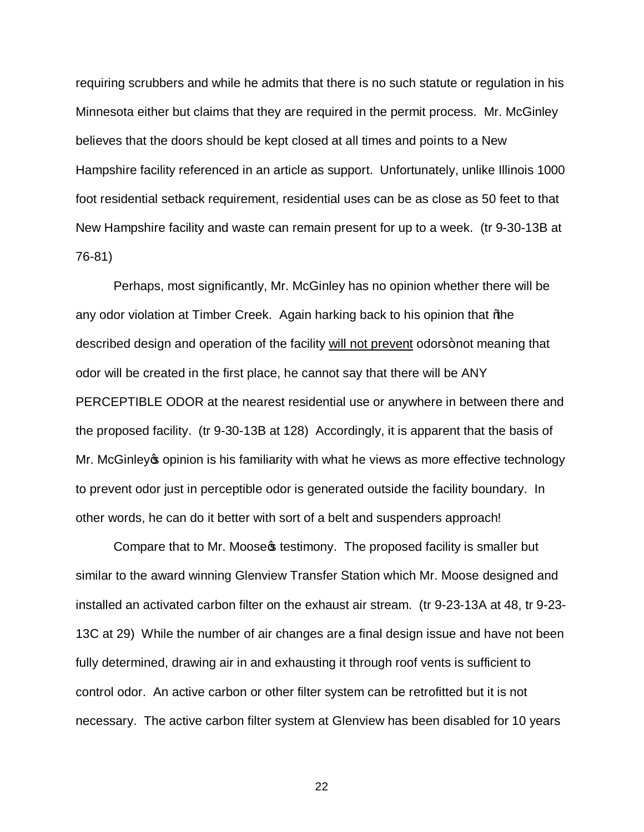requiring scrubbers and while he admits that there is no such statute or regulation in his Minnesota either but claims that they are required in the permit process. Mr. McGinley believes that the doors should be kept closed at all times and points to a New Hampshire facility referenced in an article as support. Unfortunately, unlike Illinois 1000 foot residential setback requirement, residential uses can be as close as 50 feet to that New Hampshire facility and waste can remain present for up to a week. (tr 9-30-13B at 76-81)

Perhaps, most significantly, Mr. McGinley has no opinion whether there will be any odor violation at Timber Creek. Again harking back to his opinion that % be described design and operation of the facility will not prevent odors+not meaning that odor will be created in the first place, he cannot say that there will be ANY PERCEPTIBLE ODOR at the nearest residential use or anywhere in between there and the proposed facility. (tr 9-30-13B at 128) Accordingly, it is apparent that the basis of Mr. McGinley opinion is his familiarity with what he views as more effective technology to prevent odor just in perceptible odor is generated outside the facility boundary. In other words, he can do it better with sort of a belt and suspenders approach!

Compare that to Mr. Moose of testimony. The proposed facility is smaller but similar to the award winning Glenview Transfer Station which Mr. Moose designed and installed an activated carbon filter on the exhaust air stream. (tr 9-23-13A at 48, tr 9-23- 13C at 29) While the number of air changes are a final design issue and have not been fully determined, drawing air in and exhausting it through roof vents is sufficient to control odor. An active carbon or other filter system can be retrofitted but it is not necessary. The active carbon filter system at Glenview has been disabled for 10 years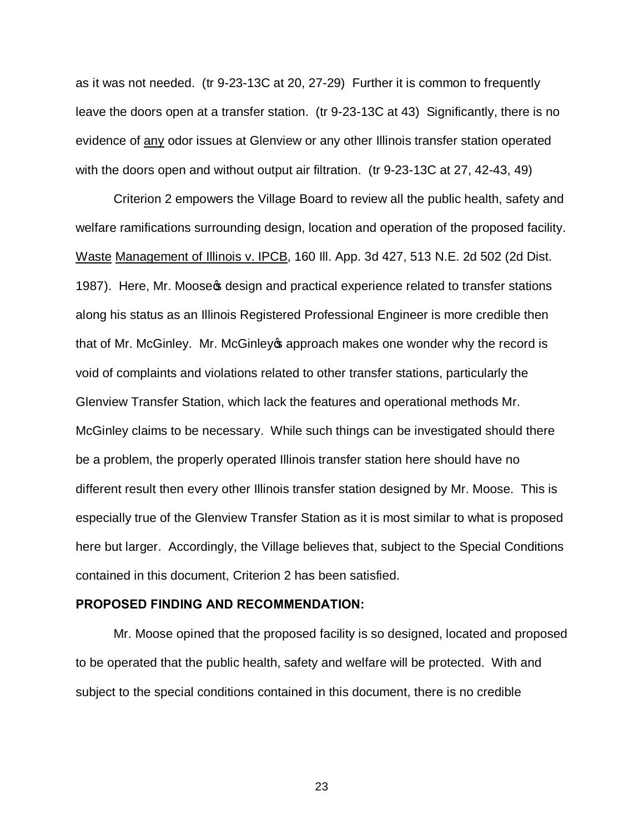as it was not needed. (tr 9-23-13C at 20, 27-29) Further it is common to frequently leave the doors open at a transfer station. (tr 9-23-13C at 43) Significantly, there is no evidence of any odor issues at Glenview or any other Illinois transfer station operated with the doors open and without output air filtration. (tr 9-23-13C at 27, 42-43, 49)

Criterion 2 empowers the Village Board to review all the public health, safety and welfare ramifications surrounding design, location and operation of the proposed facility. Waste Management of Illinois v. IPCB, 160 Ill. App. 3d 427, 513 N.E. 2d 502 (2d Dist. 1987). Here, Mr. Moose t design and practical experience related to transfer stations along his status as an Illinois Registered Professional Engineer is more credible then that of Mr. McGinley. Mr. McGinley **s** approach makes one wonder why the record is void of complaints and violations related to other transfer stations, particularly the Glenview Transfer Station, which lack the features and operational methods Mr. McGinley claims to be necessary. While such things can be investigated should there be a problem, the properly operated Illinois transfer station here should have no different result then every other Illinois transfer station designed by Mr. Moose. This is especially true of the Glenview Transfer Station as it is most similar to what is proposed here but larger. Accordingly, the Village believes that, subject to the Special Conditions contained in this document, Criterion 2 has been satisfied.

#### **PROPOSED FINDING AND RECOMMENDATION:**

Mr. Moose opined that the proposed facility is so designed, located and proposed to be operated that the public health, safety and welfare will be protected. With and subject to the special conditions contained in this document, there is no credible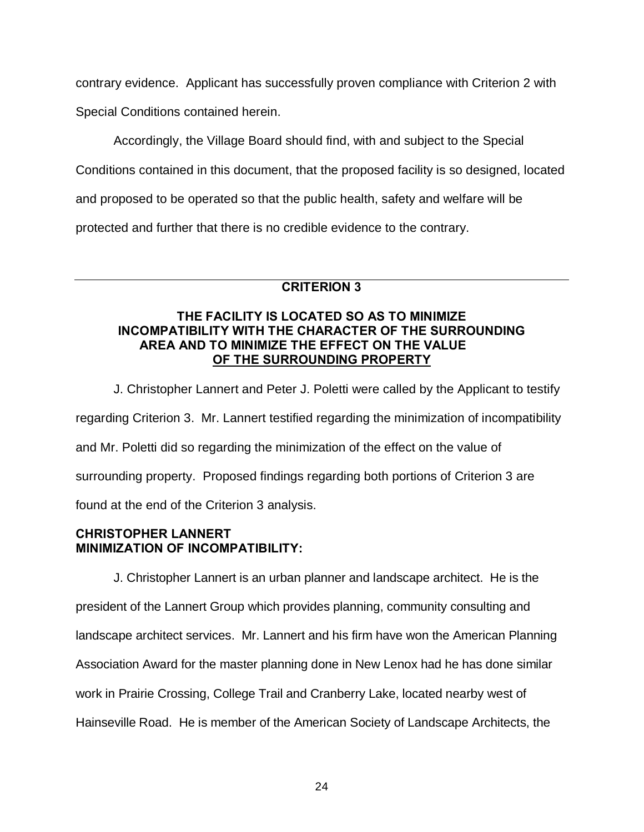contrary evidence. Applicant has successfully proven compliance with Criterion 2 with

Special Conditions contained herein.

Accordingly, the Village Board should find, with and subject to the Special

Conditions contained in this document, that the proposed facility is so designed, located

and proposed to be operated so that the public health, safety and welfare will be

protected and further that there is no credible evidence to the contrary.

# **CRITERION 3**

## **THE FACILITY IS LOCATED SO AS TO MINIMIZE INCOMPATIBILITY WITH THE CHARACTER OF THE SURROUNDING AREA AND TO MINIMIZE THE EFFECT ON THE VALUE OF THE SURROUNDING PROPERTY**

J. Christopher Lannert and Peter J. Poletti were called by the Applicant to testify regarding Criterion 3. Mr. Lannert testified regarding the minimization of incompatibility and Mr. Poletti did so regarding the minimization of the effect on the value of surrounding property. Proposed findings regarding both portions of Criterion 3 are found at the end of the Criterion 3 analysis.

# **CHRISTOPHER LANNERT MINIMIZATION OF INCOMPATIBILITY:**

J. Christopher Lannert is an urban planner and landscape architect. He is the president of the Lannert Group which provides planning, community consulting and landscape architect services. Mr. Lannert and his firm have won the American Planning Association Award for the master planning done in New Lenox had he has done similar work in Prairie Crossing, College Trail and Cranberry Lake, located nearby west of Hainseville Road. He is member of the American Society of Landscape Architects, the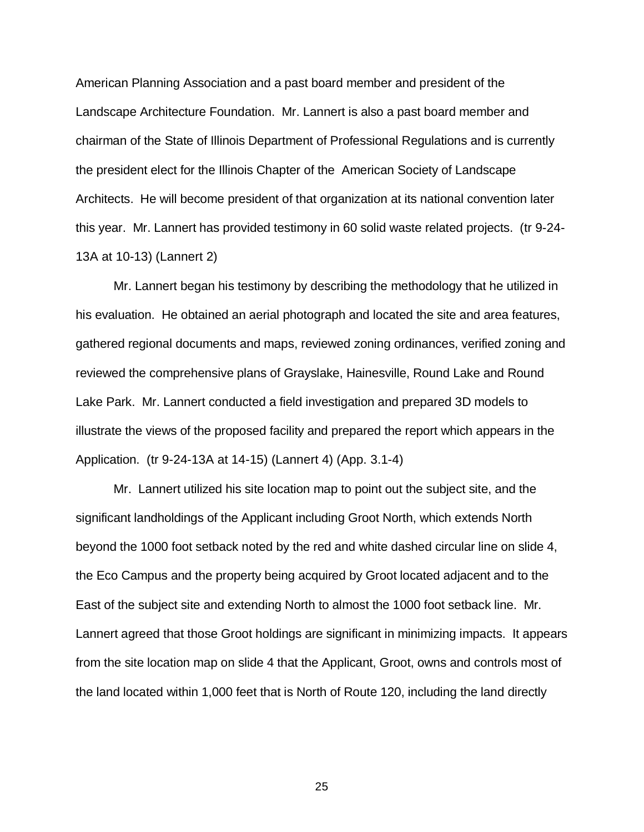American Planning Association and a past board member and president of the Landscape Architecture Foundation. Mr. Lannert is also a past board member and chairman of the State of Illinois Department of Professional Regulations and is currently the president elect for the Illinois Chapter of the American Society of Landscape Architects. He will become president of that organization at its national convention later this year. Mr. Lannert has provided testimony in 60 solid waste related projects. (tr 9-24- 13A at 10-13) (Lannert 2)

Mr. Lannert began his testimony by describing the methodology that he utilized in his evaluation. He obtained an aerial photograph and located the site and area features, gathered regional documents and maps, reviewed zoning ordinances, verified zoning and reviewed the comprehensive plans of Grayslake, Hainesville, Round Lake and Round Lake Park. Mr. Lannert conducted a field investigation and prepared 3D models to illustrate the views of the proposed facility and prepared the report which appears in the Application. (tr 9-24-13A at 14-15) (Lannert 4) (App. 3.1-4)

Mr. Lannert utilized his site location map to point out the subject site, and the significant landholdings of the Applicant including Groot North, which extends North beyond the 1000 foot setback noted by the red and white dashed circular line on slide 4, the Eco Campus and the property being acquired by Groot located adjacent and to the East of the subject site and extending North to almost the 1000 foot setback line. Mr. Lannert agreed that those Groot holdings are significant in minimizing impacts. It appears from the site location map on slide 4 that the Applicant, Groot, owns and controls most of the land located within 1,000 feet that is North of Route 120, including the land directly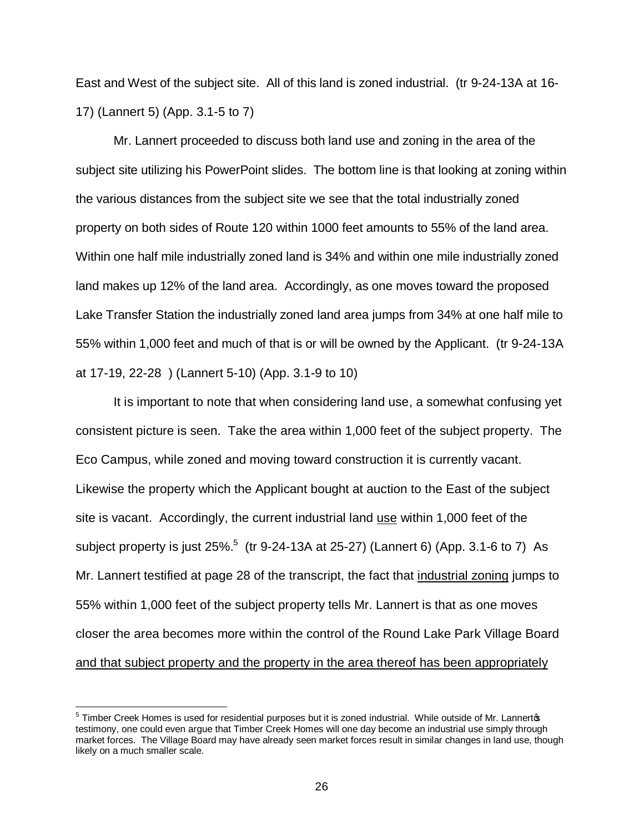East and West of the subject site. All of this land is zoned industrial. (tr 9-24-13A at 16- 17) (Lannert 5) (App. 3.1-5 to 7)

Mr. Lannert proceeded to discuss both land use and zoning in the area of the subject site utilizing his PowerPoint slides. The bottom line is that looking at zoning within the various distances from the subject site we see that the total industrially zoned property on both sides of Route 120 within 1000 feet amounts to 55% of the land area. Within one half mile industrially zoned land is 34% and within one mile industrially zoned land makes up 12% of the land area. Accordingly, as one moves toward the proposed Lake Transfer Station the industrially zoned land area jumps from 34% at one half mile to 55% within 1,000 feet and much of that is or will be owned by the Applicant. (tr 9-24-13A at 17-19, 22-28 ) (Lannert 5-10) (App. 3.1-9 to 10)

It is important to note that when considering land use, a somewhat confusing yet consistent picture is seen. Take the area within 1,000 feet of the subject property. The Eco Campus, while zoned and moving toward construction it is currently vacant. Likewise the property which the Applicant bought at auction to the East of the subject site is vacant. Accordingly, the current industrial land use within 1,000 feet of the subject property is just 25%.<sup>5</sup> (tr 9-24-13A at 25-27) (Lannert 6) (App. 3.1-6 to 7) As Mr. Lannert testified at page 28 of the transcript, the fact that industrial zoning jumps to 55% within 1,000 feet of the subject property tells Mr. Lannert is that as one moves closer the area becomes more within the control of the Round Lake Park Village Board and that subject property and the property in the area thereof has been appropriately

 $5$  Timber Creek Homes is used for residential purposes but it is zoned industrial. While outside of Mr. Lannert $\phi$ testimony, one could even argue that Timber Creek Homes will one day become an industrial use simply through market forces. The Village Board may have already seen market forces result in similar changes in land use, though likely on a much smaller scale.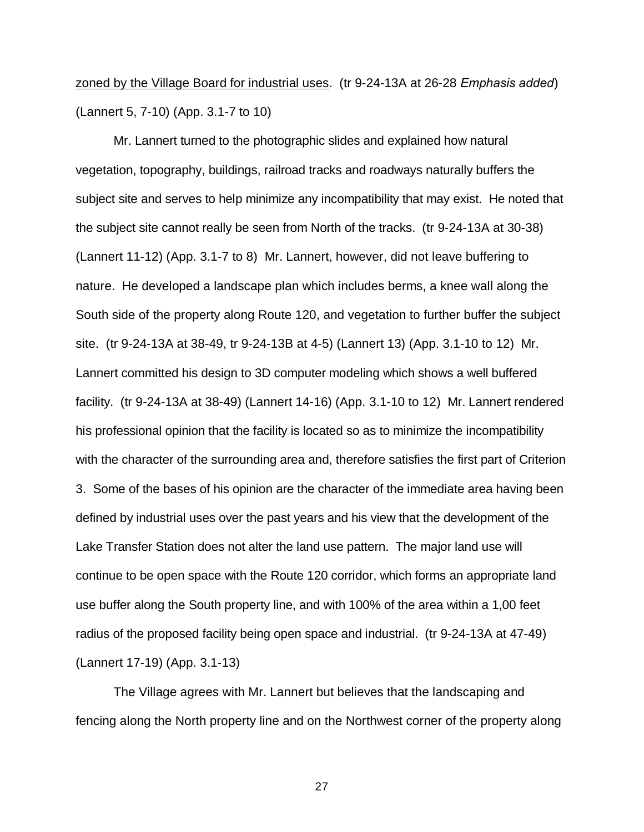# zoned by the Village Board for industrial uses. (tr 9-24-13A at 26-28 *Emphasis added*) (Lannert 5, 7-10) (App. 3.1-7 to 10)

Mr. Lannert turned to the photographic slides and explained how natural vegetation, topography, buildings, railroad tracks and roadways naturally buffers the subject site and serves to help minimize any incompatibility that may exist. He noted that the subject site cannot really be seen from North of the tracks. (tr 9-24-13A at 30-38) (Lannert 11-12) (App. 3.1-7 to 8) Mr. Lannert, however, did not leave buffering to nature. He developed a landscape plan which includes berms, a knee wall along the South side of the property along Route 120, and vegetation to further buffer the subject site. (tr 9-24-13A at 38-49, tr 9-24-13B at 4-5) (Lannert 13) (App. 3.1-10 to 12) Mr. Lannert committed his design to 3D computer modeling which shows a well buffered facility. (tr 9-24-13A at 38-49) (Lannert 14-16) (App. 3.1-10 to 12) Mr. Lannert rendered his professional opinion that the facility is located so as to minimize the incompatibility with the character of the surrounding area and, therefore satisfies the first part of Criterion 3. Some of the bases of his opinion are the character of the immediate area having been defined by industrial uses over the past years and his view that the development of the Lake Transfer Station does not alter the land use pattern. The major land use will continue to be open space with the Route 120 corridor, which forms an appropriate land use buffer along the South property line, and with 100% of the area within a 1,00 feet radius of the proposed facility being open space and industrial. (tr 9-24-13A at 47-49) (Lannert 17-19) (App. 3.1-13)

The Village agrees with Mr. Lannert but believes that the landscaping and fencing along the North property line and on the Northwest corner of the property along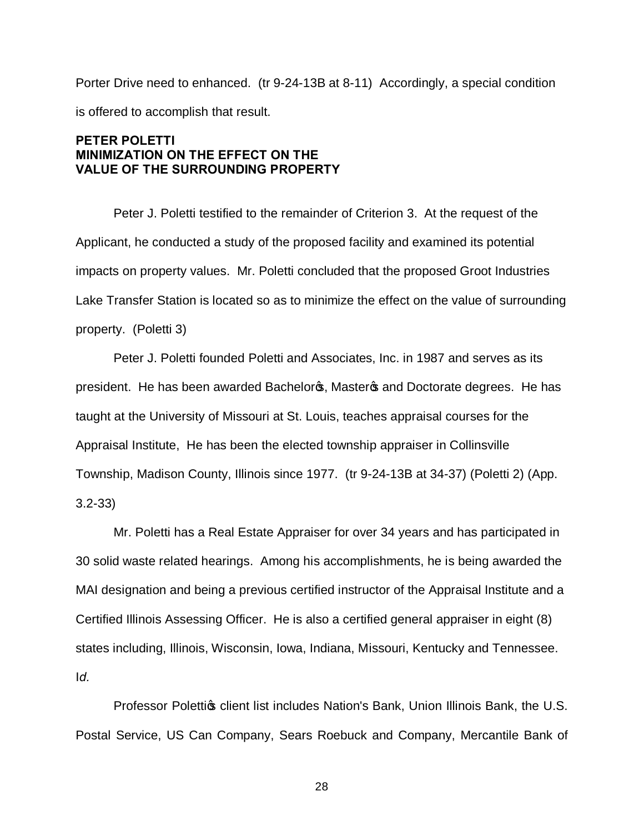Porter Drive need to enhanced. (tr 9-24-13B at 8-11) Accordingly, a special condition is offered to accomplish that result.

## **PETER POLETTI MINIMIZATION ON THE EFFECT ON THE VALUE OF THE SURROUNDING PROPERTY**

Peter J. Poletti testified to the remainder of Criterion 3. At the request of the Applicant, he conducted a study of the proposed facility and examined its potential impacts on property values. Mr. Poletti concluded that the proposed Groot Industries Lake Transfer Station is located so as to minimize the effect on the value of surrounding property. (Poletti 3)

Peter J. Poletti founded Poletti and Associates, Inc. in 1987 and serves as its president. He has been awarded Bachelors, Masters and Doctorate degrees. He has taught at the University of Missouri at St. Louis, teaches appraisal courses for the Appraisal Institute, He has been the elected township appraiser in Collinsville Township, Madison County, Illinois since 1977. (tr 9-24-13B at 34-37) (Poletti 2) (App. 3.2-33)

Mr. Poletti has a Real Estate Appraiser for over 34 years and has participated in 30 solid waste related hearings. Among his accomplishments, he is being awarded the MAI designation and being a previous certified instructor of the Appraisal Institute and a Certified Illinois Assessing Officer. He is also a certified general appraiser in eight (8) states including, Illinois, Wisconsin, Iowa, Indiana, Missouri, Kentucky and Tennessee. I*d.*

Professor Polettios client list includes Nation's Bank, Union Illinois Bank, the U.S. Postal Service, US Can Company, Sears Roebuck and Company, Mercantile Bank of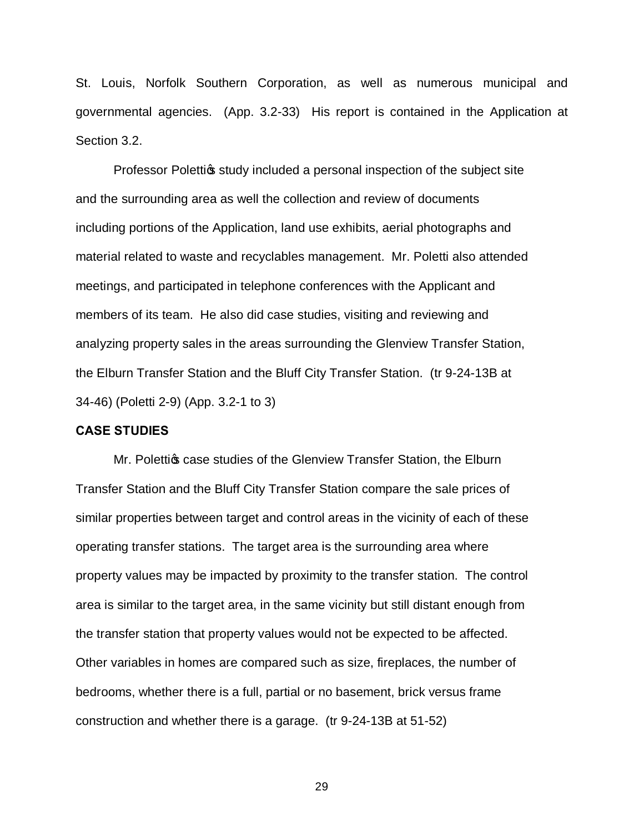St. Louis, Norfolk Southern Corporation, as well as numerous municipal and governmental agencies. (App. 3.2-33) His report is contained in the Application at Section 3.2.

Professor Polettios study included a personal inspection of the subject site and the surrounding area as well the collection and review of documents including portions of the Application, land use exhibits, aerial photographs and material related to waste and recyclables management. Mr. Poletti also attended meetings, and participated in telephone conferences with the Applicant and members of its team. He also did case studies, visiting and reviewing and analyzing property sales in the areas surrounding the Glenview Transfer Station, the Elburn Transfer Station and the Bluff City Transfer Station. (tr 9-24-13B at 34-46) (Poletti 2-9) (App. 3.2-1 to 3)

#### **CASE STUDIES**

Mr. Polettigs case studies of the Glenview Transfer Station, the Elburn Transfer Station and the Bluff City Transfer Station compare the sale prices of similar properties between target and control areas in the vicinity of each of these operating transfer stations. The target area is the surrounding area where property values may be impacted by proximity to the transfer station. The control area is similar to the target area, in the same vicinity but still distant enough from the transfer station that property values would not be expected to be affected. Other variables in homes are compared such as size, fireplaces, the number of bedrooms, whether there is a full, partial or no basement, brick versus frame construction and whether there is a garage. (tr 9-24-13B at 51-52)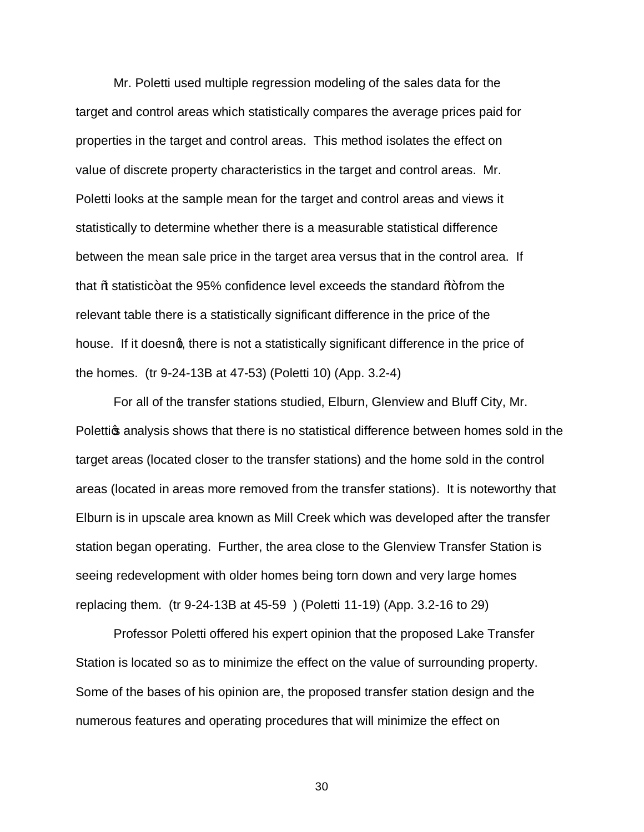Mr. Poletti used multiple regression modeling of the sales data for the target and control areas which statistically compares the average prices paid for properties in the target and control areas. This method isolates the effect on value of discrete property characteristics in the target and control areas. Mr. Poletti looks at the sample mean for the target and control areas and views it statistically to determine whether there is a measurable statistical difference between the mean sale price in the target area versus that in the control area. If that  $\text{W}\text{-}\text{}$  statistic+at the 95% confidence level exceeds the standard  $\text{W}\text{-}\text{}$  from the relevant table there is a statistically significant difference in the price of the house. If it doesng, there is not a statistically significant difference in the price of the homes. (tr 9-24-13B at 47-53) (Poletti 10) (App. 3.2-4)

For all of the transfer stations studied, Elburn, Glenview and Bluff City, Mr. Polettigs analysis shows that there is no statistical difference between homes sold in the target areas (located closer to the transfer stations) and the home sold in the control areas (located in areas more removed from the transfer stations). It is noteworthy that Elburn is in upscale area known as Mill Creek which was developed after the transfer station began operating. Further, the area close to the Glenview Transfer Station is seeing redevelopment with older homes being torn down and very large homes replacing them. (tr 9-24-13B at 45-59 ) (Poletti 11-19) (App. 3.2-16 to 29)

Professor Poletti offered his expert opinion that the proposed Lake Transfer Station is located so as to minimize the effect on the value of surrounding property. Some of the bases of his opinion are, the proposed transfer station design and the numerous features and operating procedures that will minimize the effect on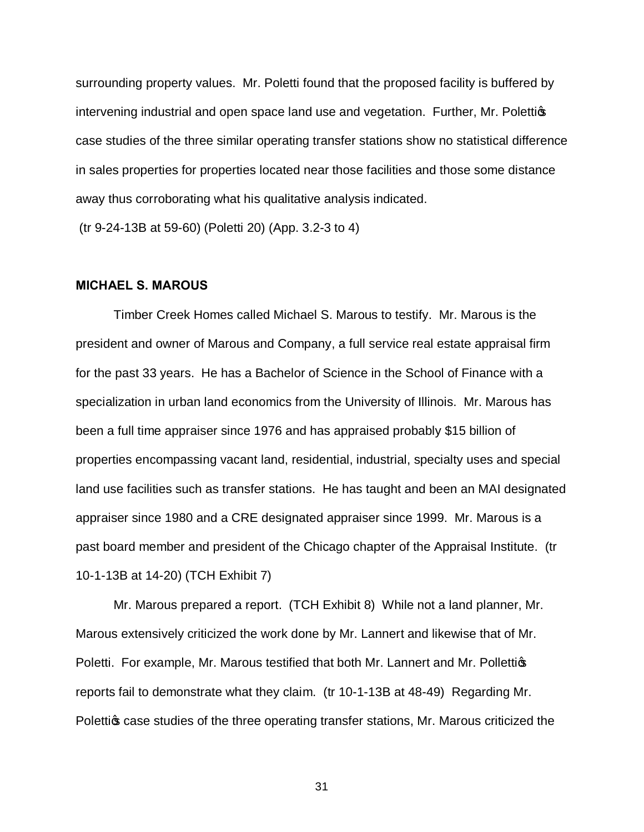surrounding property values. Mr. Poletti found that the proposed facility is buffered by intervening industrial and open space land use and vegetation. Further, Mr. Polettion case studies of the three similar operating transfer stations show no statistical difference in sales properties for properties located near those facilities and those some distance away thus corroborating what his qualitative analysis indicated.

(tr 9-24-13B at 59-60) (Poletti 20) (App. 3.2-3 to 4)

#### **MICHAEL S. MAROUS**

Timber Creek Homes called Michael S. Marous to testify. Mr. Marous is the president and owner of Marous and Company, a full service real estate appraisal firm for the past 33 years. He has a Bachelor of Science in the School of Finance with a specialization in urban land economics from the University of Illinois. Mr. Marous has been a full time appraiser since 1976 and has appraised probably \$15 billion of properties encompassing vacant land, residential, industrial, specialty uses and special land use facilities such as transfer stations. He has taught and been an MAI designated appraiser since 1980 and a CRE designated appraiser since 1999. Mr. Marous is a past board member and president of the Chicago chapter of the Appraisal Institute. (tr 10-1-13B at 14-20) (TCH Exhibit 7)

Mr. Marous prepared a report. (TCH Exhibit 8) While not a land planner, Mr. Marous extensively criticized the work done by Mr. Lannert and likewise that of Mr. Poletti. For example, Mr. Marous testified that both Mr. Lannert and Mr. Pollettigs reports fail to demonstrate what they claim. (tr 10-1-13B at 48-49) Regarding Mr. Polettigs case studies of the three operating transfer stations, Mr. Marous criticized the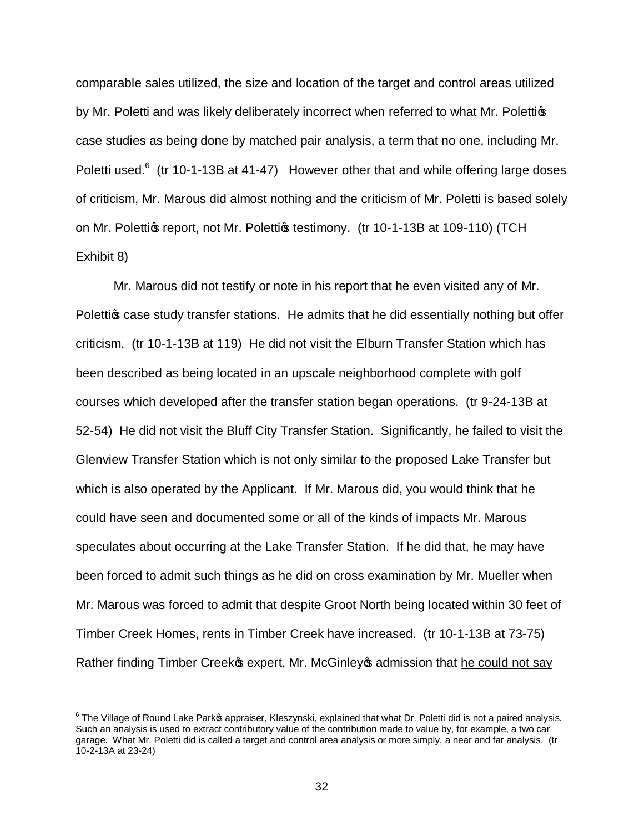comparable sales utilized, the size and location of the target and control areas utilized by Mr. Poletti and was likely deliberately incorrect when referred to what Mr. Polettigs case studies as being done by matched pair analysis, a term that no one, including Mr. Poletti used. $6$  (tr 10-1-13B at 41-47) However other that and while offering large doses of criticism, Mr. Marous did almost nothing and the criticism of Mr. Poletti is based solely on Mr. Polettigs report, not Mr. Polettigs testimony. (tr 10-1-13B at 109-110) (TCH Exhibit 8)

Mr. Marous did not testify or note in his report that he even visited any of Mr. Polettig case study transfer stations. He admits that he did essentially nothing but offer criticism. (tr 10-1-13B at 119) He did not visit the Elburn Transfer Station which has been described as being located in an upscale neighborhood complete with golf courses which developed after the transfer station began operations. (tr 9-24-13B at 52-54) He did not visit the Bluff City Transfer Station. Significantly, he failed to visit the Glenview Transfer Station which is not only similar to the proposed Lake Transfer but which is also operated by the Applicant. If Mr. Marous did, you would think that he could have seen and documented some or all of the kinds of impacts Mr. Marous speculates about occurring at the Lake Transfer Station. If he did that, he may have been forced to admit such things as he did on cross examination by Mr. Mueller when Mr. Marous was forced to admit that despite Groot North being located within 30 feet of Timber Creek Homes, rents in Timber Creek have increased. (tr 10-1-13B at 73-75) Rather finding Timber Creek pexpert, Mr. McGinley op admission that he could not say

 $6$  The Village of Round Lake Park $\,$ s appraiser, Kleszynski, explained that what Dr. Poletti did is not a paired analysis. Such an analysis is used to extract contributory value of the contribution made to value by, for example, a two car garage. What Mr. Poletti did is called a target and control area analysis or more simply, a near and far analysis. (tr 10-2-13A at 23-24)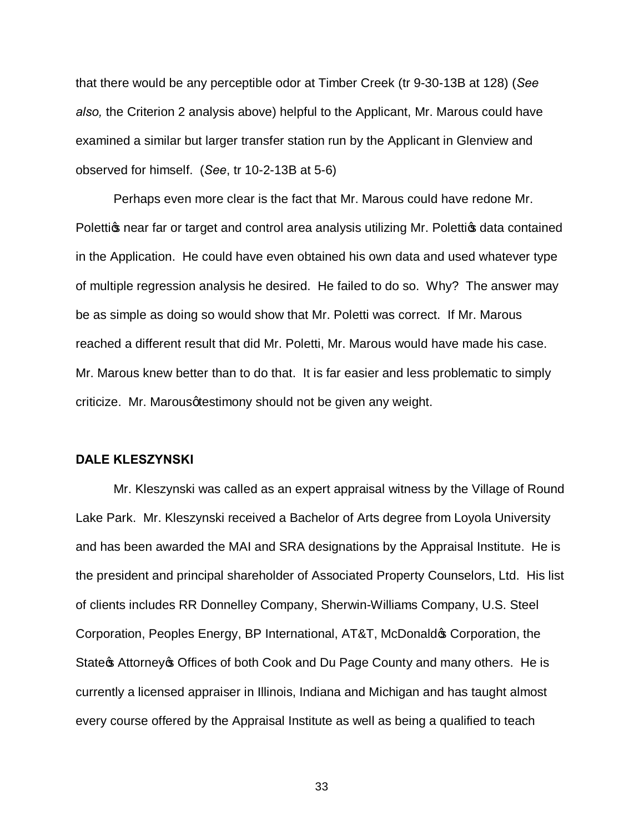that there would be any perceptible odor at Timber Creek (tr 9-30-13B at 128) (*See also,* the Criterion 2 analysis above) helpful to the Applicant, Mr. Marous could have examined a similar but larger transfer station run by the Applicant in Glenview and observed for himself. (*See*, tr 10-2-13B at 5-6)

Perhaps even more clear is the fact that Mr. Marous could have redone Mr. Polettigs near far or target and control area analysis utilizing Mr. Polettigs data contained in the Application. He could have even obtained his own data and used whatever type of multiple regression analysis he desired. He failed to do so. Why? The answer may be as simple as doing so would show that Mr. Poletti was correct. If Mr. Marous reached a different result that did Mr. Poletti, Mr. Marous would have made his case. Mr. Marous knew better than to do that. It is far easier and less problematic to simply criticize. Mr. Marous at estimony should not be given any weight.

#### **DALE KLESZYNSKI**

Mr. Kleszynski was called as an expert appraisal witness by the Village of Round Lake Park. Mr. Kleszynski received a Bachelor of Arts degree from Loyola University and has been awarded the MAI and SRA designations by the Appraisal Institute. He is the president and principal shareholder of Associated Property Counselors, Ltd. His list of clients includes RR Donnelley Company, Sherwin-Williams Company, U.S. Steel Corporation, Peoples Energy, BP International, AT&T, McDonald's Corporation, the State \$ Attorney \$ Offices of both Cook and Du Page County and many others. He is currently a licensed appraiser in Illinois, Indiana and Michigan and has taught almost every course offered by the Appraisal Institute as well as being a qualified to teach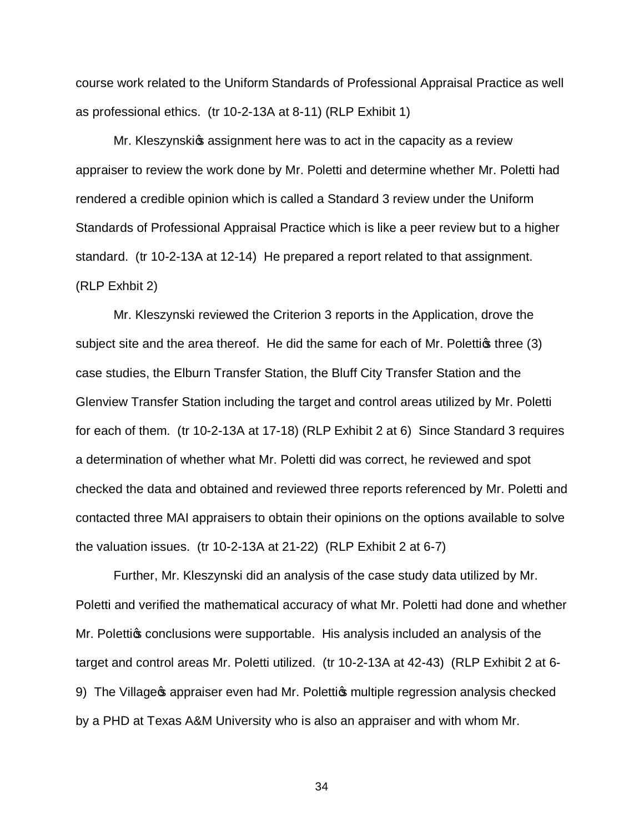course work related to the Uniform Standards of Professional Appraisal Practice as well as professional ethics. (tr 10-2-13A at 8-11) (RLP Exhibit 1)

Mr. Kleszynskios assignment here was to act in the capacity as a review appraiser to review the work done by Mr. Poletti and determine whether Mr. Poletti had rendered a credible opinion which is called a Standard 3 review under the Uniform Standards of Professional Appraisal Practice which is like a peer review but to a higher standard. (tr 10-2-13A at 12-14) He prepared a report related to that assignment. (RLP Exhbit 2)

Mr. Kleszynski reviewed the Criterion 3 reports in the Application, drove the subject site and the area thereof. He did the same for each of Mr. Polettigs three  $(3)$ case studies, the Elburn Transfer Station, the Bluff City Transfer Station and the Glenview Transfer Station including the target and control areas utilized by Mr. Poletti for each of them. (tr 10-2-13A at 17-18) (RLP Exhibit 2 at 6) Since Standard 3 requires a determination of whether what Mr. Poletti did was correct, he reviewed and spot checked the data and obtained and reviewed three reports referenced by Mr. Poletti and contacted three MAI appraisers to obtain their opinions on the options available to solve the valuation issues. (tr 10-2-13A at 21-22) (RLP Exhibit 2 at 6-7)

Further, Mr. Kleszynski did an analysis of the case study data utilized by Mr. Poletti and verified the mathematical accuracy of what Mr. Poletti had done and whether Mr. Polettics conclusions were supportable. His analysis included an analysis of the target and control areas Mr. Poletti utilized. (tr 10-2-13A at 42-43) (RLP Exhibit 2 at 6- 9) The Village of appraiser even had Mr. Polettios multiple regression analysis checked by a PHD at Texas A&M University who is also an appraiser and with whom Mr.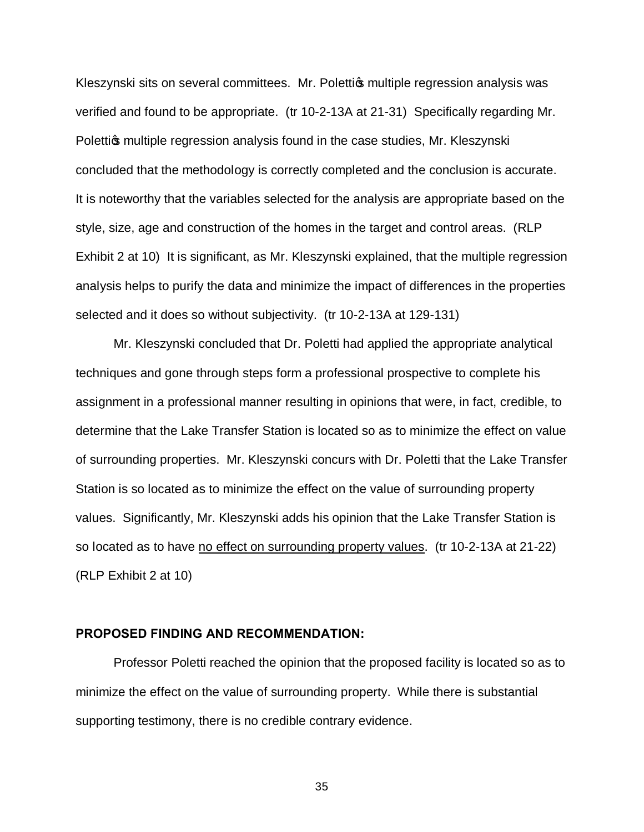Kleszynski sits on several committees. Mr. Polettios multiple regression analysis was verified and found to be appropriate. (tr 10-2-13A at 21-31) Specifically regarding Mr. Polettigs multiple regression analysis found in the case studies, Mr. Kleszynski concluded that the methodology is correctly completed and the conclusion is accurate. It is noteworthy that the variables selected for the analysis are appropriate based on the style, size, age and construction of the homes in the target and control areas. (RLP Exhibit 2 at 10) It is significant, as Mr. Kleszynski explained, that the multiple regression analysis helps to purify the data and minimize the impact of differences in the properties selected and it does so without subjectivity. (tr 10-2-13A at 129-131)

Mr. Kleszynski concluded that Dr. Poletti had applied the appropriate analytical techniques and gone through steps form a professional prospective to complete his assignment in a professional manner resulting in opinions that were, in fact, credible, to determine that the Lake Transfer Station is located so as to minimize the effect on value of surrounding properties. Mr. Kleszynski concurs with Dr. Poletti that the Lake Transfer Station is so located as to minimize the effect on the value of surrounding property values. Significantly, Mr. Kleszynski adds his opinion that the Lake Transfer Station is so located as to have no effect on surrounding property values. (tr 10-2-13A at 21-22) (RLP Exhibit 2 at 10)

#### **PROPOSED FINDING AND RECOMMENDATION:**

Professor Poletti reached the opinion that the proposed facility is located so as to minimize the effect on the value of surrounding property. While there is substantial supporting testimony, there is no credible contrary evidence.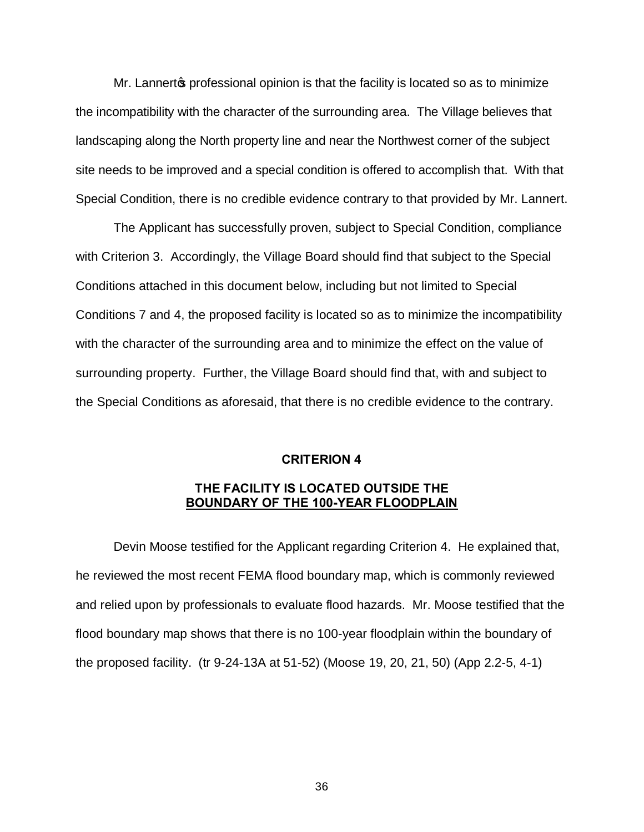Mr. Lannert to professional opinion is that the facility is located so as to minimize the incompatibility with the character of the surrounding area. The Village believes that landscaping along the North property line and near the Northwest corner of the subject site needs to be improved and a special condition is offered to accomplish that. With that Special Condition, there is no credible evidence contrary to that provided by Mr. Lannert.

The Applicant has successfully proven, subject to Special Condition, compliance with Criterion 3. Accordingly, the Village Board should find that subject to the Special Conditions attached in this document below, including but not limited to Special Conditions 7 and 4, the proposed facility is located so as to minimize the incompatibility with the character of the surrounding area and to minimize the effect on the value of surrounding property. Further, the Village Board should find that, with and subject to the Special Conditions as aforesaid, that there is no credible evidence to the contrary.

#### **CRITERION 4**

## **THE FACILITY IS LOCATED OUTSIDE THE BOUNDARY OF THE 100-YEAR FLOODPLAIN**

Devin Moose testified for the Applicant regarding Criterion 4. He explained that, he reviewed the most recent FEMA flood boundary map, which is commonly reviewed and relied upon by professionals to evaluate flood hazards. Mr. Moose testified that the flood boundary map shows that there is no 100-year floodplain within the boundary of the proposed facility. (tr 9-24-13A at 51-52) (Moose 19, 20, 21, 50) (App 2.2-5, 4-1)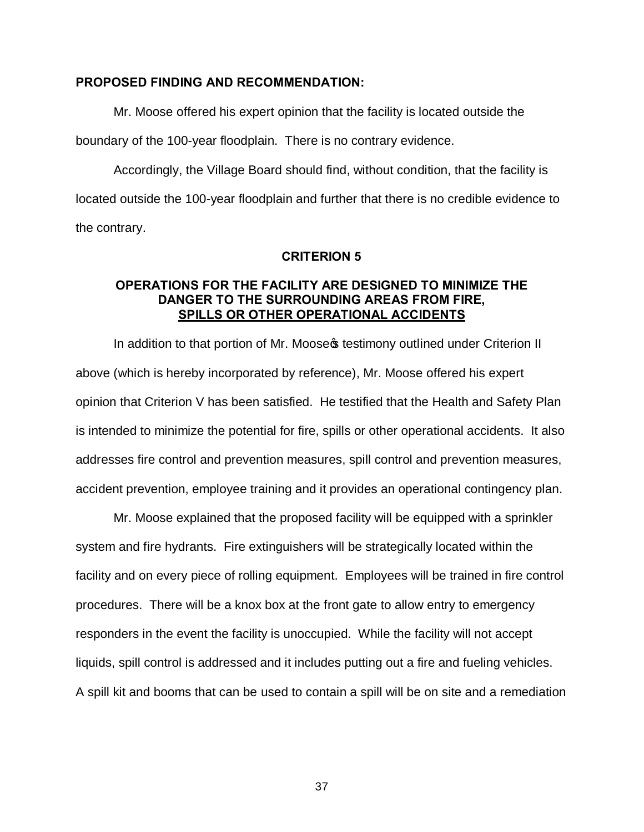#### **PROPOSED FINDING AND RECOMMENDATION:**

Mr. Moose offered his expert opinion that the facility is located outside the boundary of the 100-year floodplain. There is no contrary evidence.

Accordingly, the Village Board should find, without condition, that the facility is located outside the 100-year floodplain and further that there is no credible evidence to the contrary.

#### **CRITERION 5**

## **OPERATIONS FOR THE FACILITY ARE DESIGNED TO MINIMIZE THE DANGER TO THE SURROUNDING AREAS FROM FIRE, SPILLS OR OTHER OPERATIONAL ACCIDENTS**

In addition to that portion of Mr. Moose testimony outlined under Criterion II above (which is hereby incorporated by reference), Mr. Moose offered his expert opinion that Criterion V has been satisfied. He testified that the Health and Safety Plan is intended to minimize the potential for fire, spills or other operational accidents. It also addresses fire control and prevention measures, spill control and prevention measures, accident prevention, employee training and it provides an operational contingency plan.

Mr. Moose explained that the proposed facility will be equipped with a sprinkler system and fire hydrants. Fire extinguishers will be strategically located within the facility and on every piece of rolling equipment. Employees will be trained in fire control procedures. There will be a knox box at the front gate to allow entry to emergency responders in the event the facility is unoccupied. While the facility will not accept liquids, spill control is addressed and it includes putting out a fire and fueling vehicles. A spill kit and booms that can be used to contain a spill will be on site and a remediation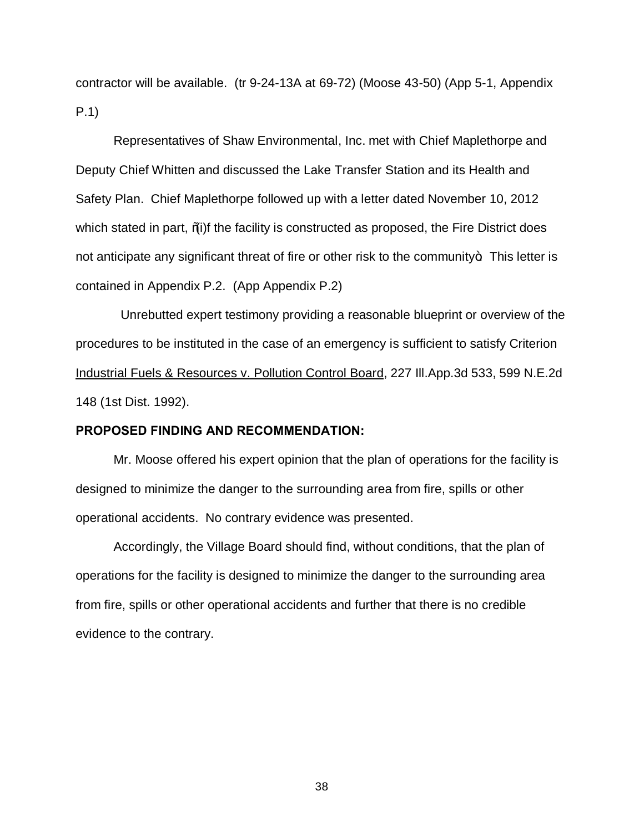contractor will be available. (tr 9-24-13A at 69-72) (Moose 43-50) (App 5-1, Appendix P.1)

Representatives of Shaw Environmental, Inc. met with Chief Maplethorpe and Deputy Chief Whitten and discussed the Lake Transfer Station and its Health and Safety Plan. Chief Maplethorpe followed up with a letter dated November 10, 2012 which stated in part,  $\%$ i)f the facility is constructed as proposed, the Fire District does not anticipate any significant threat of fire or other risk to the community $\pm$ . This letter is contained in Appendix P.2. (App Appendix P.2)

 Unrebutted expert testimony providing a reasonable blueprint or overview of the procedures to be instituted in the case of an emergency is sufficient to satisfy Criterion Industrial Fuels & Resources v. Pollution Control Board, 227 Ill.App.3d 533, 599 N.E.2d 148 (1st Dist. 1992).

#### **PROPOSED FINDING AND RECOMMENDATION:**

Mr. Moose offered his expert opinion that the plan of operations for the facility is designed to minimize the danger to the surrounding area from fire, spills or other operational accidents. No contrary evidence was presented.

Accordingly, the Village Board should find, without conditions, that the plan of operations for the facility is designed to minimize the danger to the surrounding area from fire, spills or other operational accidents and further that there is no credible evidence to the contrary.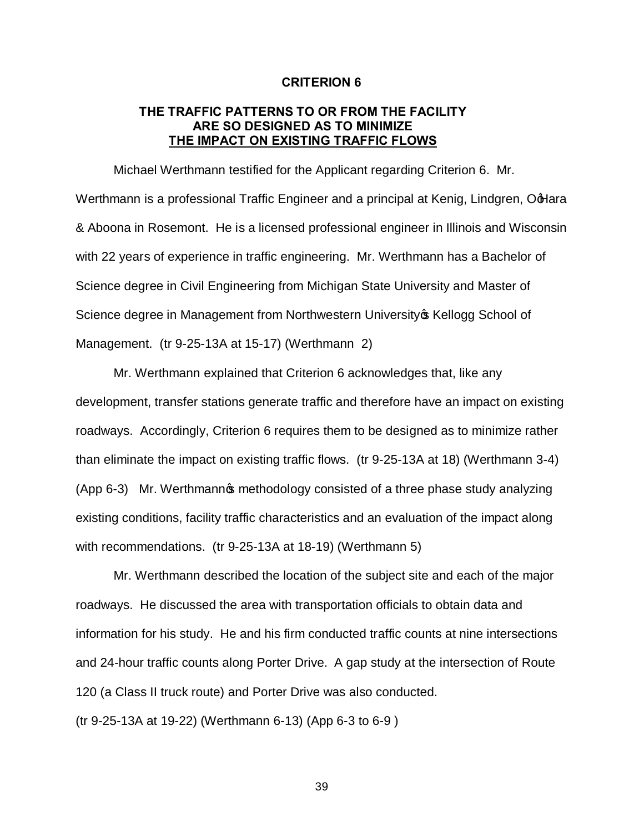#### **CRITERION 6**

## **THE TRAFFIC PATTERNS TO OR FROM THE FACILITY ARE SO DESIGNED AS TO MINIMIZE THE IMPACT ON EXISTING TRAFFIC FLOWS**

Michael Werthmann testified for the Applicant regarding Criterion 6. Mr. Werthmann is a professional Traffic Engineer and a principal at Kenig, Lindgren, OdHara & Aboona in Rosemont. He is a licensed professional engineer in Illinois and Wisconsin with 22 years of experience in traffic engineering. Mr. Werthmann has a Bachelor of Science degree in Civil Engineering from Michigan State University and Master of Science degree in Management from Northwestern University of Kellogg School of Management. (tr 9-25-13A at 15-17) (Werthmann 2)

Mr. Werthmann explained that Criterion 6 acknowledges that, like any development, transfer stations generate traffic and therefore have an impact on existing roadways. Accordingly, Criterion 6 requires them to be designed as to minimize rather than eliminate the impact on existing traffic flows. (tr 9-25-13A at 18) (Werthmann 3-4) (App 6-3) Mr. Werthmann ts methodology consisted of a three phase study analyzing existing conditions, facility traffic characteristics and an evaluation of the impact along with recommendations. (tr 9-25-13A at 18-19) (Werthmann 5)

Mr. Werthmann described the location of the subject site and each of the major roadways. He discussed the area with transportation officials to obtain data and information for his study. He and his firm conducted traffic counts at nine intersections and 24-hour traffic counts along Porter Drive. A gap study at the intersection of Route 120 (a Class II truck route) and Porter Drive was also conducted. (tr 9-25-13A at 19-22) (Werthmann 6-13) (App 6-3 to 6-9 )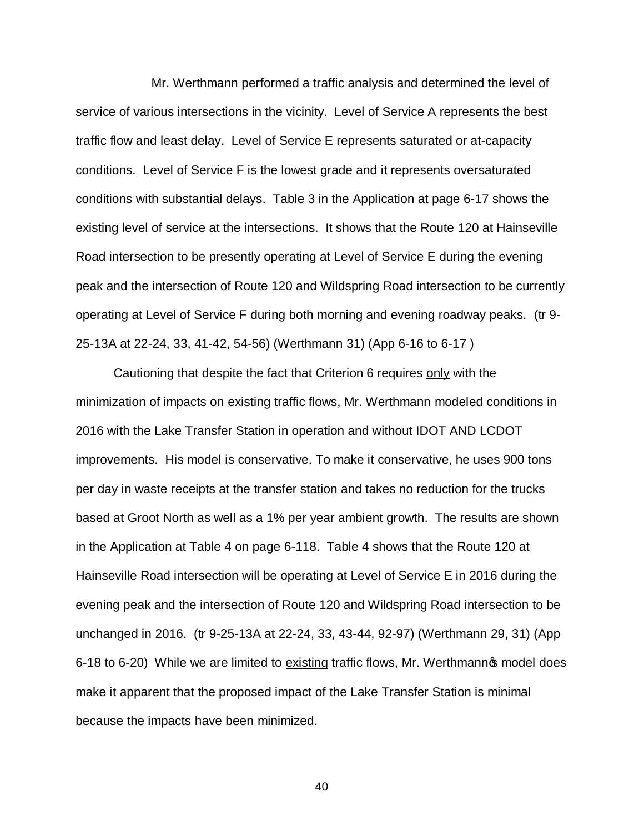Mr. Werthmann performed a traffic analysis and determined the level of service of various intersections in the vicinity. Level of Service A represents the best traffic flow and least delay. Level of Service E represents saturated or at-capacity conditions. Level of Service F is the lowest grade and it represents oversaturated conditions with substantial delays. Table 3 in the Application at page 6-17 shows the existing level of service at the intersections. It shows that the Route 120 at Hainseville Road intersection to be presently operating at Level of Service E during the evening peak and the intersection of Route 120 and Wildspring Road intersection to be currently operating at Level of Service F during both morning and evening roadway peaks. (tr 9- 25-13A at 22-24, 33, 41-42, 54-56) (Werthmann 31) (App 6-16 to 6-17 )

Cautioning that despite the fact that Criterion 6 requires only with the minimization of impacts on existing traffic flows, Mr. Werthmann modeled conditions in 2016 with the Lake Transfer Station in operation and without IDOT AND LCDOT improvements. His model is conservative. To make it conservative, he uses 900 tons per day in waste receipts at the transfer station and takes no reduction for the trucks based at Groot North as well as a 1% per year ambient growth. The results are shown in the Application at Table 4 on page 6-118. Table 4 shows that the Route 120 at Hainseville Road intersection will be operating at Level of Service E in 2016 during the evening peak and the intersection of Route 120 and Wildspring Road intersection to be unchanged in 2016. (tr 9-25-13A at 22-24, 33, 43-44, 92-97) (Werthmann 29, 31) (App 6-18 to 6-20) While we are limited to existing traffic flows, Mr. Werthmann  $\phi$  model does make it apparent that the proposed impact of the Lake Transfer Station is minimal because the impacts have been minimized.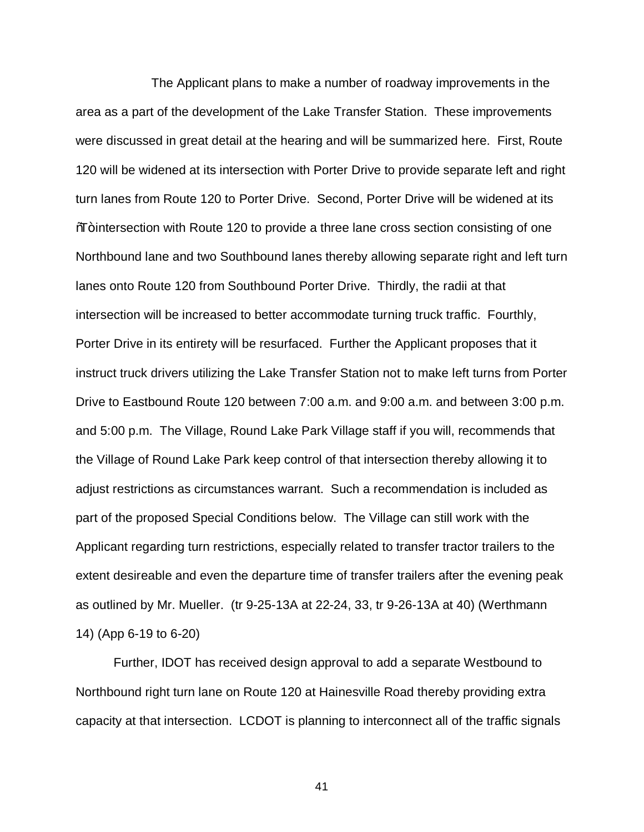The Applicant plans to make a number of roadway improvements in the area as a part of the development of the Lake Transfer Station. These improvements were discussed in great detail at the hearing and will be summarized here. First, Route 120 will be widened at its intersection with Porter Drive to provide separate left and right turn lanes from Route 120 to Porter Drive. Second, Porter Drive will be widened at its %T<sub>t</sub> intersection with Route 120 to provide a three lane cross section consisting of one Northbound lane and two Southbound lanes thereby allowing separate right and left turn lanes onto Route 120 from Southbound Porter Drive. Thirdly, the radii at that intersection will be increased to better accommodate turning truck traffic. Fourthly, Porter Drive in its entirety will be resurfaced. Further the Applicant proposes that it instruct truck drivers utilizing the Lake Transfer Station not to make left turns from Porter Drive to Eastbound Route 120 between 7:00 a.m. and 9:00 a.m. and between 3:00 p.m. and 5:00 p.m. The Village, Round Lake Park Village staff if you will, recommends that the Village of Round Lake Park keep control of that intersection thereby allowing it to adjust restrictions as circumstances warrant. Such a recommendation is included as part of the proposed Special Conditions below. The Village can still work with the Applicant regarding turn restrictions, especially related to transfer tractor trailers to the extent desireable and even the departure time of transfer trailers after the evening peak as outlined by Mr. Mueller. (tr 9-25-13A at 22-24, 33, tr 9-26-13A at 40) (Werthmann 14) (App 6-19 to 6-20)

Further, IDOT has received design approval to add a separate Westbound to Northbound right turn lane on Route 120 at Hainesville Road thereby providing extra capacity at that intersection. LCDOT is planning to interconnect all of the traffic signals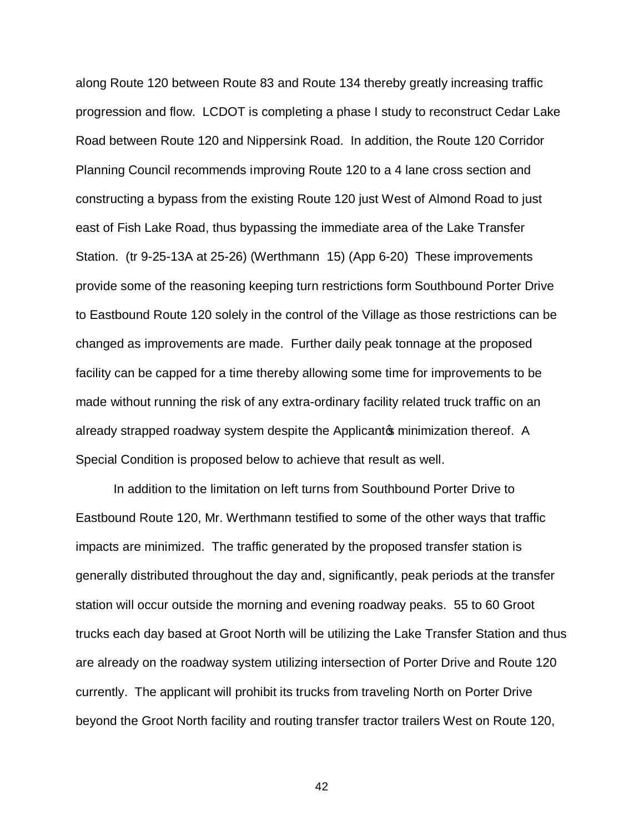along Route 120 between Route 83 and Route 134 thereby greatly increasing traffic progression and flow. LCDOT is completing a phase I study to reconstruct Cedar Lake Road between Route 120 and Nippersink Road. In addition, the Route 120 Corridor Planning Council recommends improving Route 120 to a 4 lane cross section and constructing a bypass from the existing Route 120 just West of Almond Road to just east of Fish Lake Road, thus bypassing the immediate area of the Lake Transfer Station. (tr 9-25-13A at 25-26) (Werthmann 15) (App 6-20) These improvements provide some of the reasoning keeping turn restrictions form Southbound Porter Drive to Eastbound Route 120 solely in the control of the Village as those restrictions can be changed as improvements are made. Further daily peak tonnage at the proposed facility can be capped for a time thereby allowing some time for improvements to be made without running the risk of any extra-ordinary facility related truck traffic on an already strapped roadway system despite the Applicantom minimization thereof. A Special Condition is proposed below to achieve that result as well.

In addition to the limitation on left turns from Southbound Porter Drive to Eastbound Route 120, Mr. Werthmann testified to some of the other ways that traffic impacts are minimized. The traffic generated by the proposed transfer station is generally distributed throughout the day and, significantly, peak periods at the transfer station will occur outside the morning and evening roadway peaks. 55 to 60 Groot trucks each day based at Groot North will be utilizing the Lake Transfer Station and thus are already on the roadway system utilizing intersection of Porter Drive and Route 120 currently. The applicant will prohibit its trucks from traveling North on Porter Drive beyond the Groot North facility and routing transfer tractor trailers West on Route 120,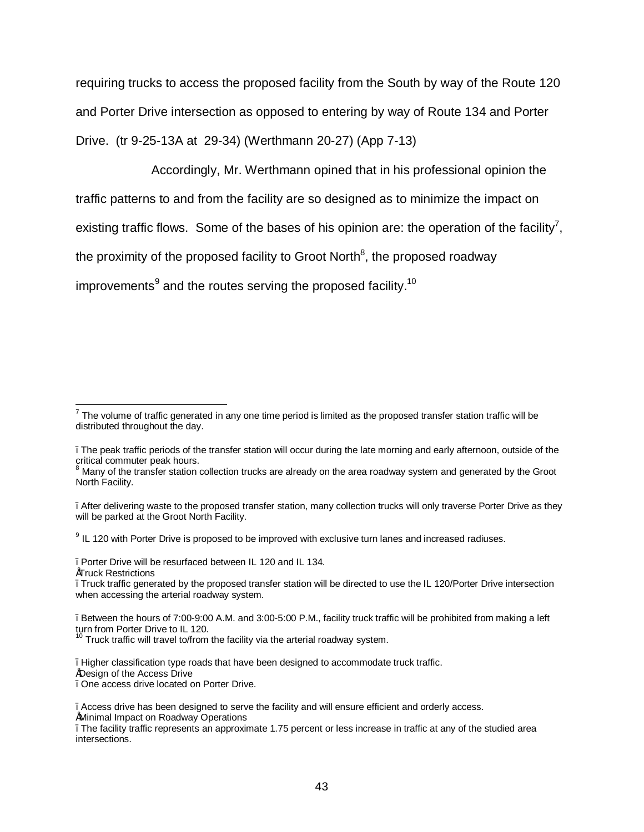requiring trucks to access the proposed facility from the South by way of the Route 120 and Porter Drive intersection as opposed to entering by way of Route 134 and Porter Drive. (tr 9-25-13A at 29-34) (Werthmann 20-27) (App 7-13)

Accordingly, Mr. Werthmann opined that in his professional opinion the traffic patterns to and from the facility are so designed as to minimize the impact on existing traffic flows. Some of the bases of his opinion are: the operation of the facility<sup>7</sup>, the proximity of the proposed facility to Groot North<sup>8</sup>, the proposed roadway improvements $^9$  and the routes serving the proposed facility.<sup>10</sup>

 $9$  IL 120 with Porter Drive is proposed to be improved with exclusive turn lanes and increased radiuses.

–Porter Drive will be resurfaced between IL 120 and IL 134.

•Truck Restrictions

–Higher classification type roads that have been designed to accommodate truck traffic.

•Design of the Access Drive

–One access drive located on Porter Drive.

•Minimal Impact on Roadway Operations

 $7$  The volume of traffic generated in any one time period is limited as the proposed transfer station traffic will be distributed throughout the day.

<sup>–</sup>The peak traffic periods of the transfer station will occur during the late morning and early afternoon, outside of the critical commuter peak hours.

 $8$  Many of the transfer station collection trucks are already on the area roadway system and generated by the Groot North Facility.

<sup>–</sup>After delivering waste to the proposed transfer station, many collection trucks will only traverse Porter Drive as they will be parked at the Groot North Facility.

<sup>–</sup>Truck traffic generated by the proposed transfer station will be directed to use the IL 120/Porter Drive intersection when accessing the arterial roadway system.

<sup>–</sup>Between the hours of 7:00-9:00 A.M. and 3:00-5:00 P.M., facility truck traffic will be prohibited from making a left turn from Porter Drive to IL 120.

Truck traffic will travel to/from the facility via the arterial roadway system.

<sup>–</sup>Access drive has been designed to serve the facility and will ensure efficient and orderly access.

<sup>–</sup>The facility traffic represents an approximate 1.75 percent or less increase in traffic at any of the studied area intersections.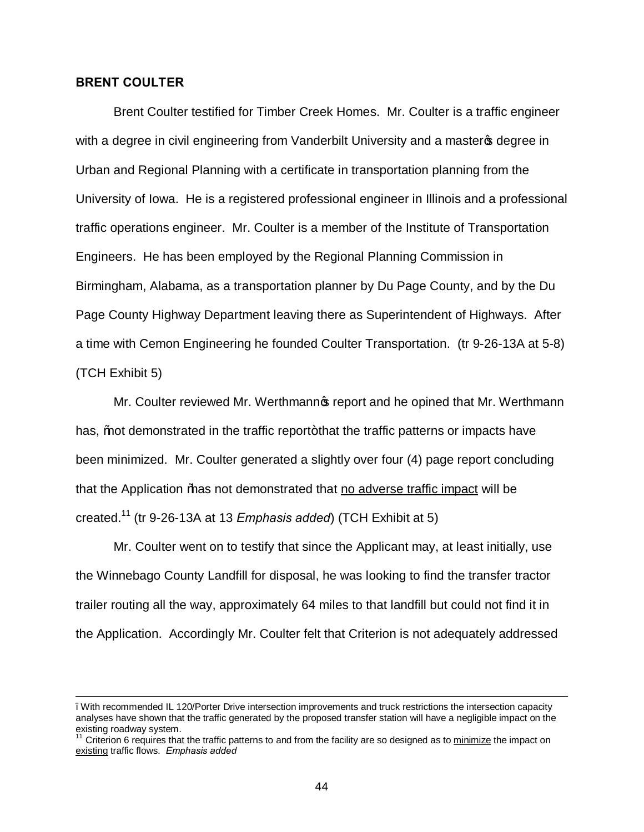## **BRENT COULTER**

 $\overline{a}$ 

Brent Coulter testified for Timber Creek Homes. Mr. Coulter is a traffic engineer with a degree in civil engineering from Vanderbilt University and a master to degree in Urban and Regional Planning with a certificate in transportation planning from the University of Iowa. He is a registered professional engineer in Illinois and a professional traffic operations engineer. Mr. Coulter is a member of the Institute of Transportation Engineers. He has been employed by the Regional Planning Commission in Birmingham, Alabama, as a transportation planner by Du Page County, and by the Du Page County Highway Department leaving there as Superintendent of Highways. After a time with Cemon Engineering he founded Coulter Transportation. (tr 9-26-13A at 5-8) (TCH Exhibit 5)

Mr. Coulter reviewed Mr. Werthmann is report and he opined that Mr. Werthmann has, *%* not demonstrated in the traffic report+ that the traffic patterns or impacts have been minimized. Mr. Coulter generated a slightly over four (4) page report concluding that the Application "has not demonstrated that no adverse traffic impact will be created.<sup>11</sup> (tr 9-26-13A at 13 *Emphasis added*) (TCH Exhibit at 5)

Mr. Coulter went on to testify that since the Applicant may, at least initially, use the Winnebago County Landfill for disposal, he was looking to find the transfer tractor trailer routing all the way, approximately 64 miles to that landfill but could not find it in the Application. Accordingly Mr. Coulter felt that Criterion is not adequately addressed

<sup>–</sup>With recommended IL 120/Porter Drive intersection improvements and truck restrictions the intersection capacity analyses have shown that the traffic generated by the proposed transfer station will have a negligible impact on the existing roadway system.

Criterion 6 requires that the traffic patterns to and from the facility are so designed as to minimize the impact on existing traffic flows. *Emphasis added*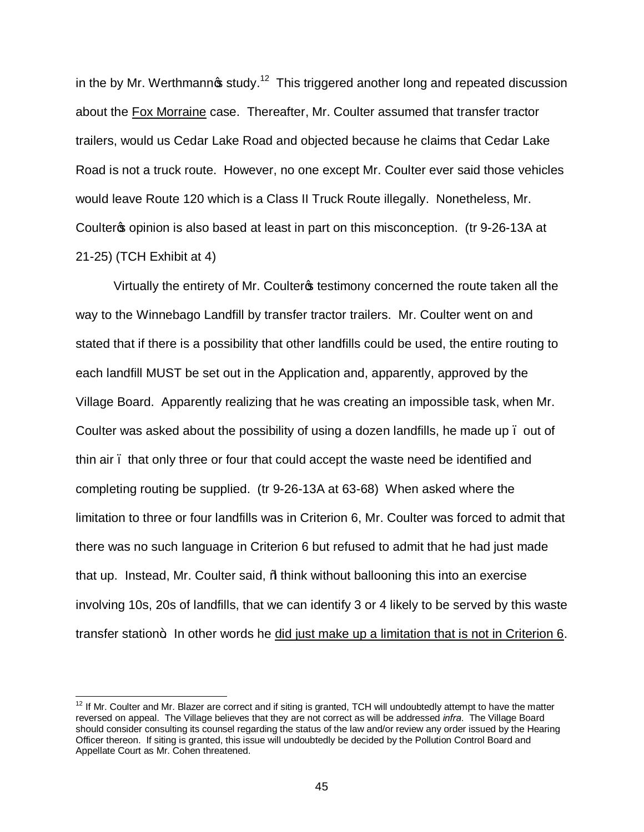in the by Mr. Werthmann $\boldsymbol{\mathfrak{s}}$  study.<sup>12</sup> This triggered another long and repeated discussion about the Fox Morraine case. Thereafter, Mr. Coulter assumed that transfer tractor trailers, would us Cedar Lake Road and objected because he claims that Cedar Lake Road is not a truck route. However, no one except Mr. Coulter ever said those vehicles would leave Route 120 which is a Class II Truck Route illegally. Nonetheless, Mr. Coulter the opinion is also based at least in part on this misconception. (tr 9-26-13A at 21-25) (TCH Exhibit at 4)

Virtually the entirety of Mr. Coulter<sub>®</sub> testimony concerned the route taken all the way to the Winnebago Landfill by transfer tractor trailers. Mr. Coulter went on and stated that if there is a possibility that other landfills could be used, the entire routing to each landfill MUST be set out in the Application and, apparently, approved by the Village Board. Apparently realizing that he was creating an impossible task, when Mr. Coulter was asked about the possibility of using a dozen landfills, he made up . out of thin air – that only three or four that could accept the waste need be identified and completing routing be supplied. (tr 9-26-13A at 63-68) When asked where the limitation to three or four landfills was in Criterion 6, Mr. Coulter was forced to admit that there was no such language in Criterion 6 but refused to admit that he had just made that up. Instead, Mr. Coulter said, % think without ballooning this into an exercise involving 10s, 20s of landfills, that we can identify 3 or 4 likely to be served by this waste transfer station + In other words he did just make up a limitation that is not in Criterion 6.

 $12$  If Mr. Coulter and Mr. Blazer are correct and if siting is granted, TCH will undoubtedly attempt to have the matter reversed on appeal. The Village believes that they are not correct as will be addressed *infra*. The Village Board should consider consulting its counsel regarding the status of the law and/or review any order issued by the Hearing Officer thereon. If siting is granted, this issue will undoubtedly be decided by the Pollution Control Board and Appellate Court as Mr. Cohen threatened.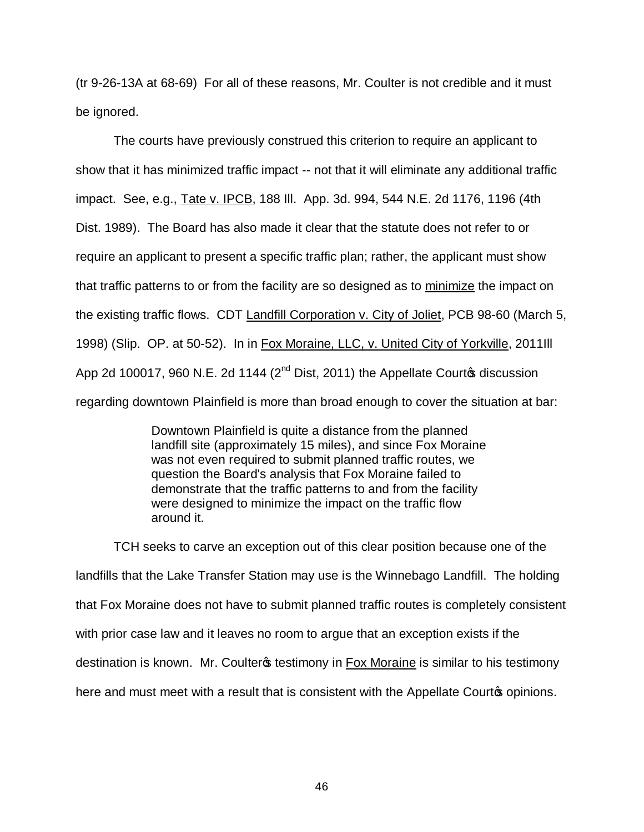(tr 9-26-13A at 68-69) For all of these reasons, Mr. Coulter is not credible and it must be ignored.

The courts have previously construed this criterion to require an applicant to show that it has minimized traffic impact -- not that it will eliminate any additional traffic impact. See, e.g., Tate v. IPCB, 188 Ill. App. 3d. 994, 544 N.E. 2d 1176, 1196 (4th Dist. 1989). The Board has also made it clear that the statute does not refer to or require an applicant to present a specific traffic plan; rather, the applicant must show that traffic patterns to or from the facility are so designed as to minimize the impact on the existing traffic flows. CDT Landfill Corporation v. City of Joliet, PCB 98-60 (March 5, 1998) (Slip. OP. at 50-52). In in Fox Moraine, LLC, v. United City of Yorkville, 2011III App 2d 100017, 960 N.E. 2d 1144 ( $2<sup>nd</sup>$  Dist, 2011) the Appellate Courtom discussion regarding downtown Plainfield is more than broad enough to cover the situation at bar:

> Downtown Plainfield is quite a distance from the planned landfill site (approximately 15 miles), and since Fox Moraine was not even required to submit planned traffic routes, we question the Board's analysis that Fox Moraine failed to demonstrate that the traffic patterns to and from the facility were designed to minimize the impact on the traffic flow around it.

TCH seeks to carve an exception out of this clear position because one of the landfills that the Lake Transfer Station may use is the Winnebago Landfill. The holding that Fox Moraine does not have to submit planned traffic routes is completely consistent with prior case law and it leaves no room to argue that an exception exists if the destination is known. Mr. Coulter is testimony in Fox Moraine is similar to his testimony here and must meet with a result that is consistent with the Appellate Courto opinions.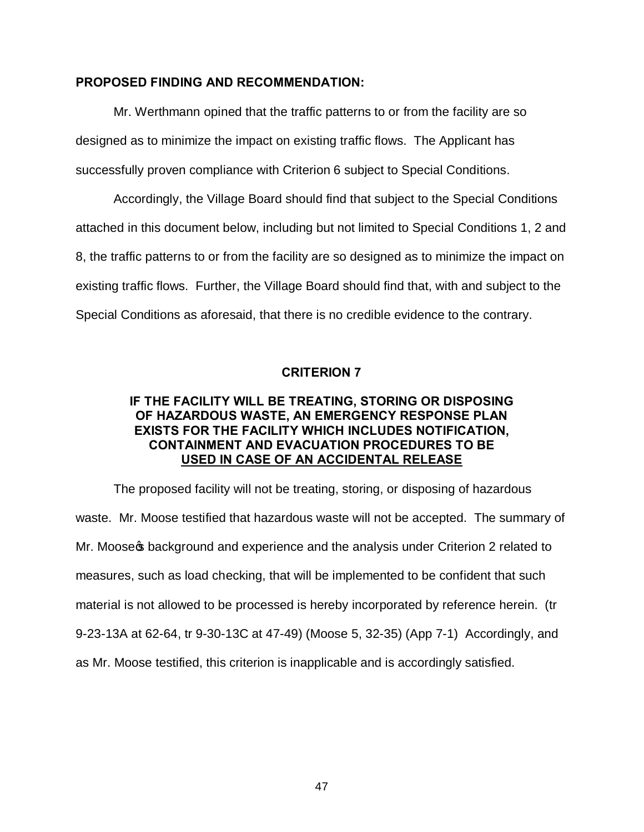## **PROPOSED FINDING AND RECOMMENDATION:**

Mr. Werthmann opined that the traffic patterns to or from the facility are so designed as to minimize the impact on existing traffic flows. The Applicant has successfully proven compliance with Criterion 6 subject to Special Conditions.

Accordingly, the Village Board should find that subject to the Special Conditions attached in this document below, including but not limited to Special Conditions 1, 2 and 8, the traffic patterns to or from the facility are so designed as to minimize the impact on existing traffic flows. Further, the Village Board should find that, with and subject to the Special Conditions as aforesaid, that there is no credible evidence to the contrary.

# **CRITERION 7**

## **IF THE FACILITY WILL BE TREATING, STORING OR DISPOSING OF HAZARDOUS WASTE, AN EMERGENCY RESPONSE PLAN EXISTS FOR THE FACILITY WHICH INCLUDES NOTIFICATION, CONTAINMENT AND EVACUATION PROCEDURES TO BE USED IN CASE OF AN ACCIDENTAL RELEASE**

The proposed facility will not be treating, storing, or disposing of hazardous waste. Mr. Moose testified that hazardous waste will not be accepted. The summary of Mr. Moose t background and experience and the analysis under Criterion 2 related to measures, such as load checking, that will be implemented to be confident that such material is not allowed to be processed is hereby incorporated by reference herein. (tr 9-23-13A at 62-64, tr 9-30-13C at 47-49) (Moose 5, 32-35) (App 7-1) Accordingly, and as Mr. Moose testified, this criterion is inapplicable and is accordingly satisfied.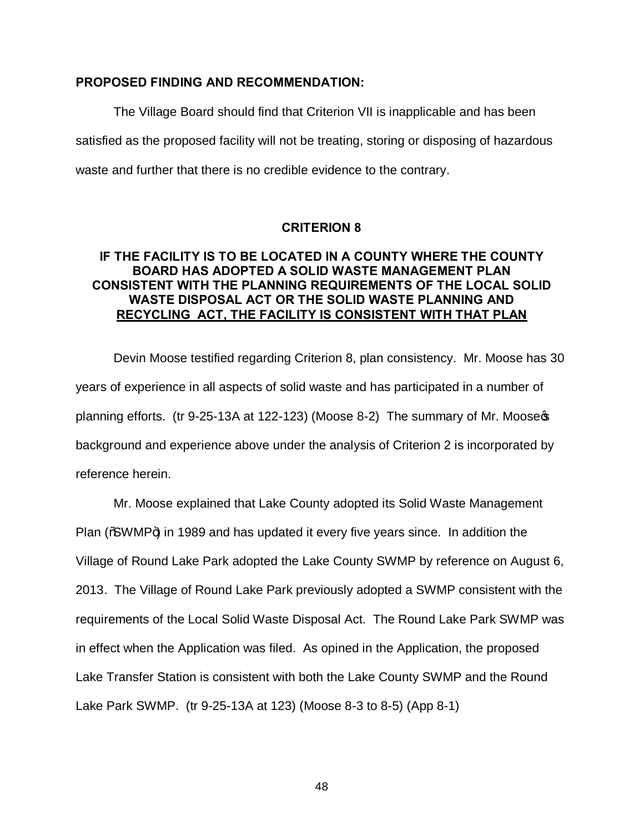#### **PROPOSED FINDING AND RECOMMENDATION:**

The Village Board should find that Criterion VII is inapplicable and has been satisfied as the proposed facility will not be treating, storing or disposing of hazardous waste and further that there is no credible evidence to the contrary.

## **CRITERION 8**

## **IF THE FACILITY IS TO BE LOCATED IN A COUNTY WHERE THE COUNTY BOARD HAS ADOPTED A SOLID WASTE MANAGEMENT PLAN CONSISTENT WITH THE PLANNING REQUIREMENTS OF THE LOCAL SOLID WASTE DISPOSAL ACT OR THE SOLID WASTE PLANNING AND RECYCLING ACT, THE FACILITY IS CONSISTENT WITH THAT PLAN**

Devin Moose testified regarding Criterion 8, plan consistency. Mr. Moose has 30 years of experience in all aspects of solid waste and has participated in a number of planning efforts. (tr 9-25-13A at 122-123) (Moose 8-2) The summary of Mr. Moose  $\infty$ background and experience above under the analysis of Criterion 2 is incorporated by reference herein.

Mr. Moose explained that Lake County adopted its Solid Waste Management Plan  $\frac{1}{2}$  MWMP+) in 1989 and has updated it every five years since. In addition the Village of Round Lake Park adopted the Lake County SWMP by reference on August 6, 2013. The Village of Round Lake Park previously adopted a SWMP consistent with the requirements of the Local Solid Waste Disposal Act. The Round Lake Park SWMP was in effect when the Application was filed. As opined in the Application, the proposed Lake Transfer Station is consistent with both the Lake County SWMP and the Round Lake Park SWMP. (tr 9-25-13A at 123) (Moose 8-3 to 8-5) (App 8-1)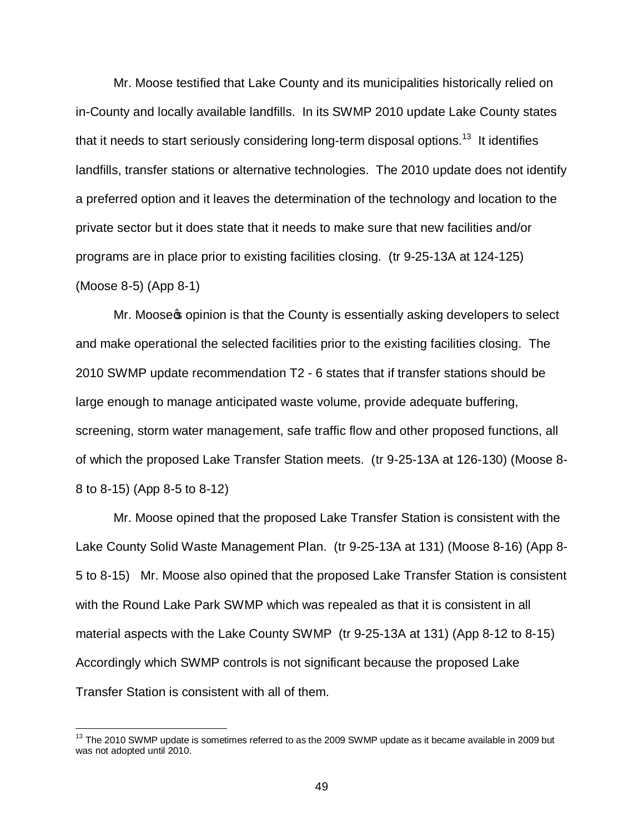Mr. Moose testified that Lake County and its municipalities historically relied on in-County and locally available landfills. In its SWMP 2010 update Lake County states that it needs to start seriously considering long-term disposal options.<sup>13</sup> It identifies landfills, transfer stations or alternative technologies. The 2010 update does not identify a preferred option and it leaves the determination of the technology and location to the private sector but it does state that it needs to make sure that new facilities and/or programs are in place prior to existing facilities closing. (tr 9-25-13A at 124-125) (Moose 8-5) (App 8-1)

Mr. Moose popinion is that the County is essentially asking developers to select and make operational the selected facilities prior to the existing facilities closing. The 2010 SWMP update recommendation T2 - 6 states that if transfer stations should be large enough to manage anticipated waste volume, provide adequate buffering, screening, storm water management, safe traffic flow and other proposed functions, all of which the proposed Lake Transfer Station meets. (tr 9-25-13A at 126-130) (Moose 8- 8 to 8-15) (App 8-5 to 8-12)

Mr. Moose opined that the proposed Lake Transfer Station is consistent with the Lake County Solid Waste Management Plan. (tr 9-25-13A at 131) (Moose 8-16) (App 8- 5 to 8-15) Mr. Moose also opined that the proposed Lake Transfer Station is consistent with the Round Lake Park SWMP which was repealed as that it is consistent in all material aspects with the Lake County SWMP (tr 9-25-13A at 131) (App 8-12 to 8-15) Accordingly which SWMP controls is not significant because the proposed Lake Transfer Station is consistent with all of them.

 $13$  The 2010 SWMP update is sometimes referred to as the 2009 SWMP update as it became available in 2009 but was not adopted until 2010.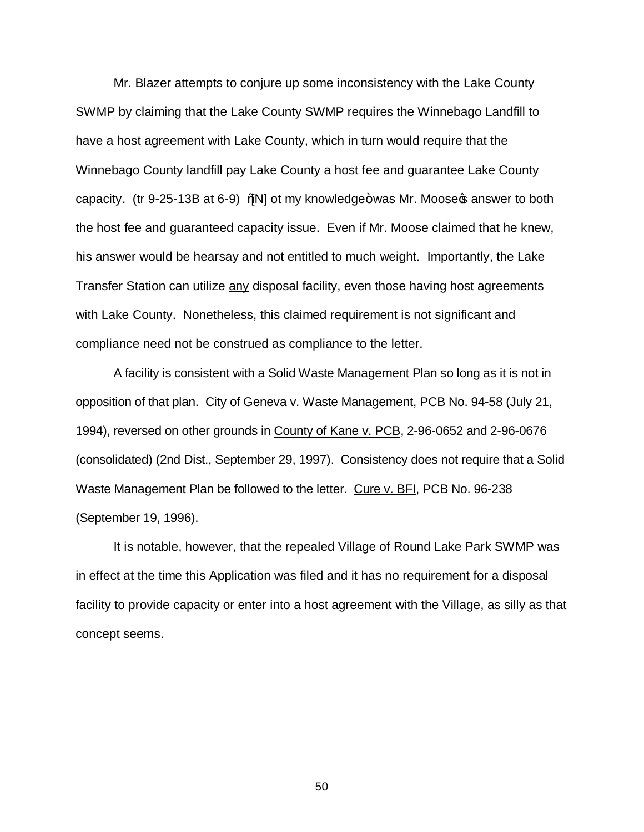Mr. Blazer attempts to conjure up some inconsistency with the Lake County SWMP by claiming that the Lake County SWMP requires the Winnebago Landfill to have a host agreement with Lake County, which in turn would require that the Winnebago County landfill pay Lake County a host fee and guarantee Lake County capacity. (tr 9-25-13B at 6-9) % N ot my knowledge+was Mr. Moose  $\phi$  answer to both the host fee and guaranteed capacity issue. Even if Mr. Moose claimed that he knew, his answer would be hearsay and not entitled to much weight. Importantly, the Lake Transfer Station can utilize any disposal facility, even those having host agreements with Lake County. Nonetheless, this claimed requirement is not significant and compliance need not be construed as compliance to the letter.

A facility is consistent with a Solid Waste Management Plan so long as it is not in opposition of that plan. City of Geneva v. Waste Management, PCB No. 94-58 (July 21, 1994), reversed on other grounds in County of Kane v. PCB, 2-96-0652 and 2-96-0676 (consolidated) (2nd Dist., September 29, 1997). Consistency does not require that a Solid Waste Management Plan be followed to the letter. Cure v. BFI, PCB No. 96-238 (September 19, 1996).

It is notable, however, that the repealed Village of Round Lake Park SWMP was in effect at the time this Application was filed and it has no requirement for a disposal facility to provide capacity or enter into a host agreement with the Village, as silly as that concept seems.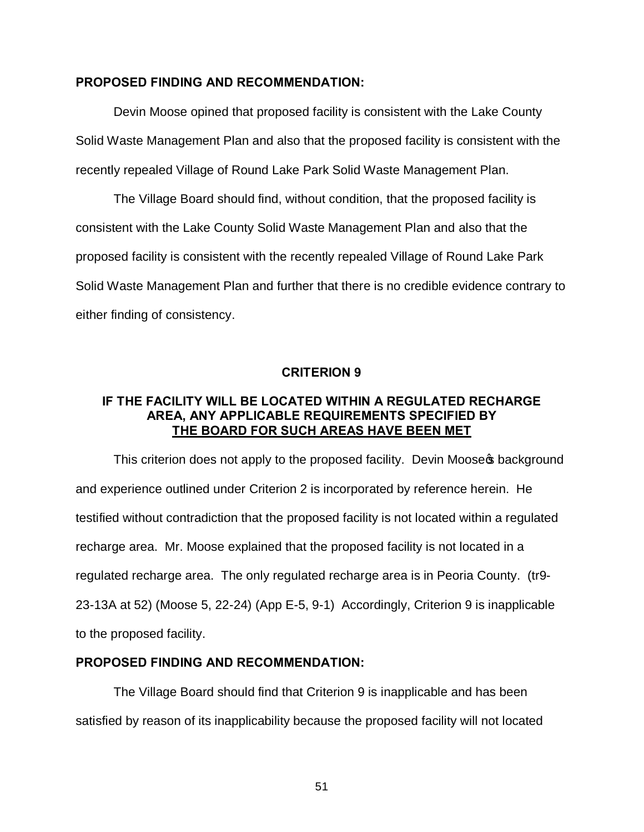#### **PROPOSED FINDING AND RECOMMENDATION:**

Devin Moose opined that proposed facility is consistent with the Lake County Solid Waste Management Plan and also that the proposed facility is consistent with the recently repealed Village of Round Lake Park Solid Waste Management Plan.

The Village Board should find, without condition, that the proposed facility is consistent with the Lake County Solid Waste Management Plan and also that the proposed facility is consistent with the recently repealed Village of Round Lake Park Solid Waste Management Plan and further that there is no credible evidence contrary to either finding of consistency.

#### **CRITERION 9**

## **IF THE FACILITY WILL BE LOCATED WITHIN A REGULATED RECHARGE AREA, ANY APPLICABLE REQUIREMENTS SPECIFIED BY THE BOARD FOR SUCH AREAS HAVE BEEN MET**

This criterion does not apply to the proposed facility. Devin Moose t background and experience outlined under Criterion 2 is incorporated by reference herein. He testified without contradiction that the proposed facility is not located within a regulated recharge area. Mr. Moose explained that the proposed facility is not located in a regulated recharge area. The only regulated recharge area is in Peoria County. (tr9- 23-13A at 52) (Moose 5, 22-24) (App E-5, 9-1) Accordingly, Criterion 9 is inapplicable to the proposed facility.

#### **PROPOSED FINDING AND RECOMMENDATION:**

The Village Board should find that Criterion 9 is inapplicable and has been satisfied by reason of its inapplicability because the proposed facility will not located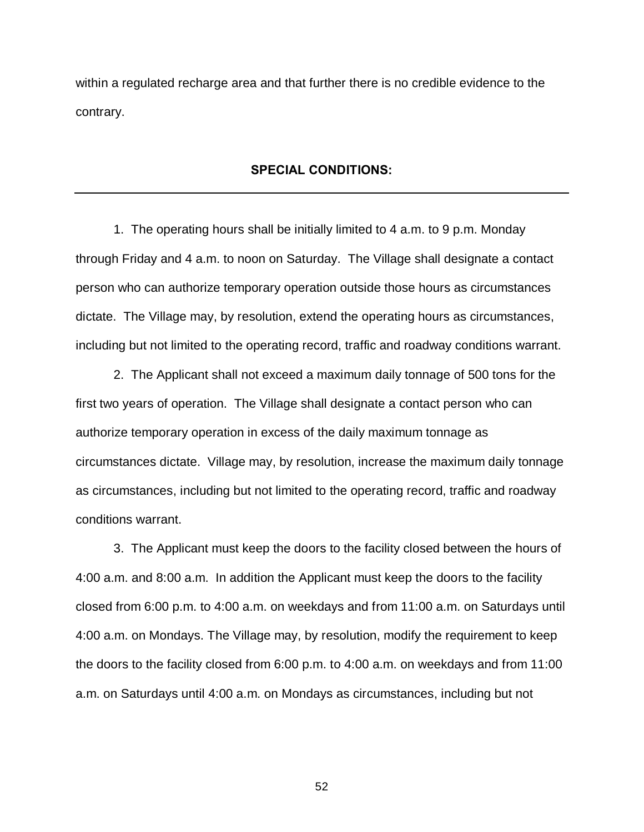within a regulated recharge area and that further there is no credible evidence to the contrary.

## **SPECIAL CONDITIONS:**

1. The operating hours shall be initially limited to 4 a.m. to 9 p.m. Monday through Friday and 4 a.m. to noon on Saturday. The Village shall designate a contact person who can authorize temporary operation outside those hours as circumstances dictate. The Village may, by resolution, extend the operating hours as circumstances, including but not limited to the operating record, traffic and roadway conditions warrant.

2. The Applicant shall not exceed a maximum daily tonnage of 500 tons for the first two years of operation. The Village shall designate a contact person who can authorize temporary operation in excess of the daily maximum tonnage as circumstances dictate. Village may, by resolution, increase the maximum daily tonnage as circumstances, including but not limited to the operating record, traffic and roadway conditions warrant.

3. The Applicant must keep the doors to the facility closed between the hours of 4:00 a.m. and 8:00 a.m. In addition the Applicant must keep the doors to the facility closed from 6:00 p.m. to 4:00 a.m. on weekdays and from 11:00 a.m. on Saturdays until 4:00 a.m. on Mondays. The Village may, by resolution, modify the requirement to keep the doors to the facility closed from 6:00 p.m. to 4:00 a.m. on weekdays and from 11:00 a.m. on Saturdays until 4:00 a.m. on Mondays as circumstances, including but not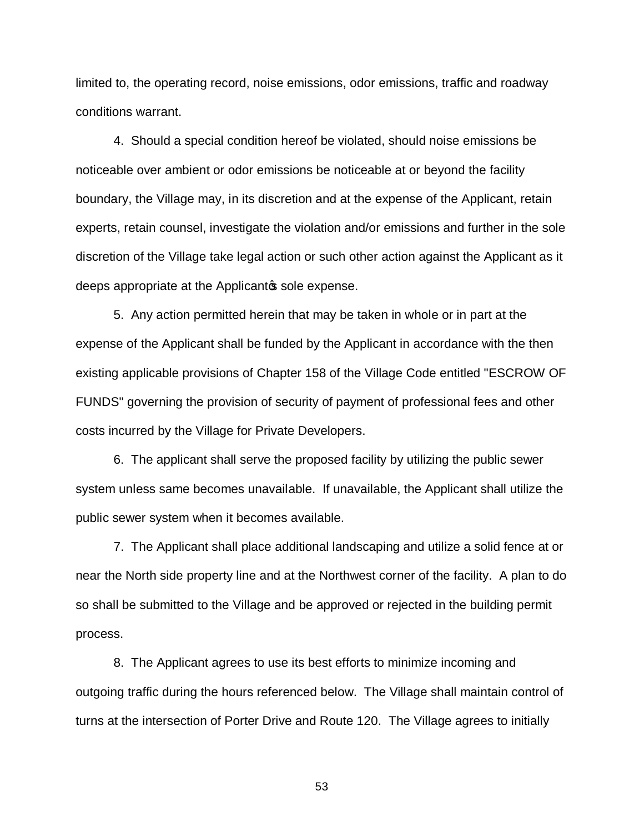limited to, the operating record, noise emissions, odor emissions, traffic and roadway conditions warrant.

4. Should a special condition hereof be violated, should noise emissions be noticeable over ambient or odor emissions be noticeable at or beyond the facility boundary, the Village may, in its discretion and at the expense of the Applicant, retain experts, retain counsel, investigate the violation and/or emissions and further in the sole discretion of the Village take legal action or such other action against the Applicant as it deeps appropriate at the Applicantos sole expense.

5. Any action permitted herein that may be taken in whole or in part at the expense of the Applicant shall be funded by the Applicant in accordance with the then existing applicable provisions of Chapter 158 of the Village Code entitled "ESCROW OF FUNDS" governing the provision of security of payment of professional fees and other costs incurred by the Village for Private Developers.

6. The applicant shall serve the proposed facility by utilizing the public sewer system unless same becomes unavailable. If unavailable, the Applicant shall utilize the public sewer system when it becomes available.

7. The Applicant shall place additional landscaping and utilize a solid fence at or near the North side property line and at the Northwest corner of the facility. A plan to do so shall be submitted to the Village and be approved or rejected in the building permit process.

8. The Applicant agrees to use its best efforts to minimize incoming and outgoing traffic during the hours referenced below. The Village shall maintain control of turns at the intersection of Porter Drive and Route 120. The Village agrees to initially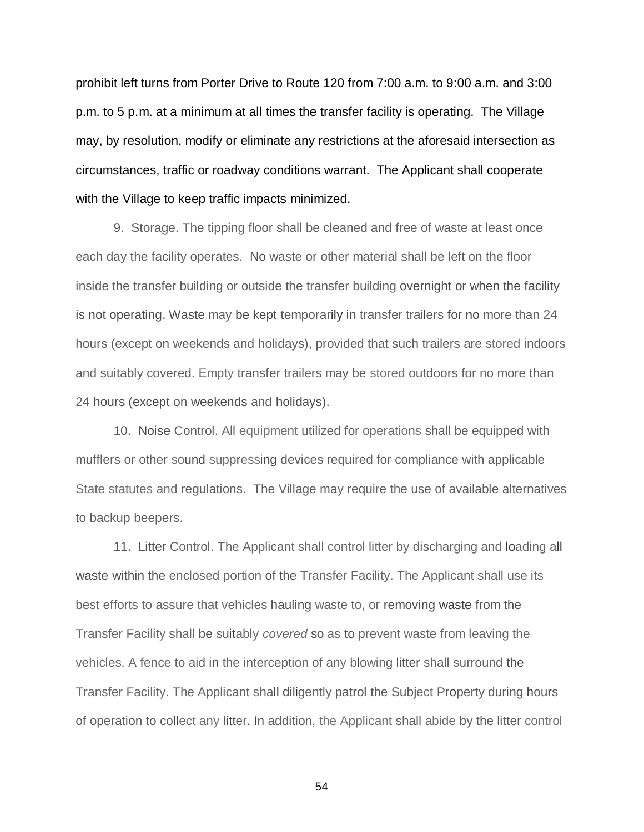prohibit left turns from Porter Drive to Route 120 from 7:00 a.m. to 9:00 a.m. and 3:00 p.m. to 5 p.m. at a minimum at all times the transfer facility is operating. The Village may, by resolution, modify or eliminate any restrictions at the aforesaid intersection as circumstances, traffic or roadway conditions warrant. The Applicant shall cooperate with the Village to keep traffic impacts minimized.

9. Storage. The tipping floor shall be cleaned and free of waste at least once each day the facility operates. No waste or other material shall be left on the floor inside the transfer building or outside the transfer building overnight or when the facility is not operating. Waste may be kept temporarily in transfer trailers for no more than 24 hours (except on weekends and holidays), provided that such trailers are stored indoors and suitably covered. Empty transfer trailers may be stored outdoors for no more than 24 hours (except on weekends and holidays).

10. Noise Control. All equipment utilized for operations shall be equipped with mufflers or other sound suppressing devices required for compliance with applicable State statutes and regulations. The Village may require the use of available alternatives to backup beepers.

11. Litter Control. The Applicant shall control litter by discharging and loading all waste within the enclosed portion of the Transfer Facility. The Applicant shall use its best efforts to assure that vehicles hauling waste to, or removing waste from the Transfer Facility shall be suitably *covered* so as to prevent waste from leaving the vehicles. A fence to aid in the interception of any blowing litter shall surround the Transfer Facility. The Applicant shall diligently patrol the Subject Property during hours of operation to collect any litter. In addition, the Applicant shall abide by the litter control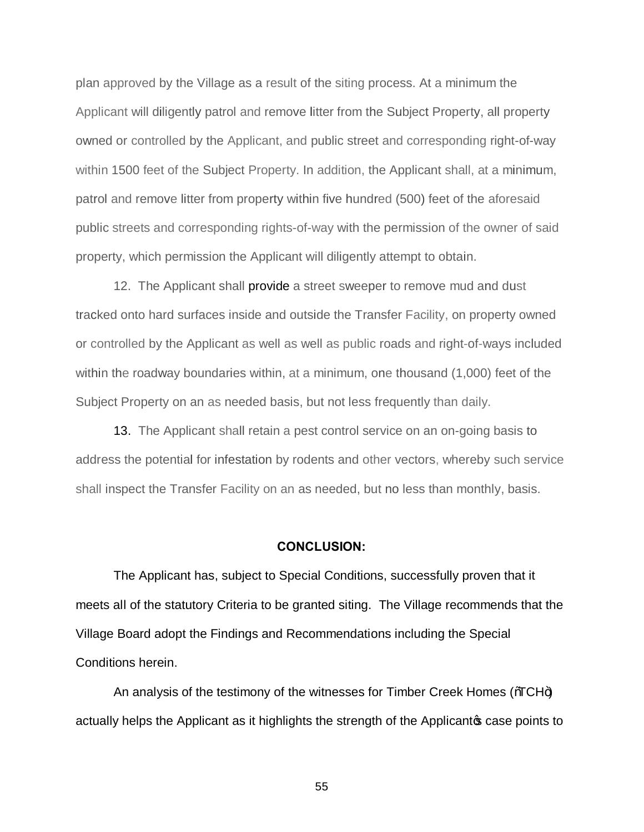plan approved by the Village as a result of the siting process. At a minimum the Applicant will diligently patrol and remove litter from the Subject Property, all property owned or controlled by the Applicant, and public street and corresponding right-of-way within 1500 feet of the Subject Property. In addition, the Applicant shall, at a minimum, patrol and remove litter from property within five hundred (500) feet of the aforesaid public streets and corresponding rights-of-way with the permission of the owner of said property, which permission the Applicant will diligently attempt to obtain.

12. The Applicant shall provide a street sweeper to remove mud and dust tracked onto hard surfaces inside and outside the Transfer Facility, on property owned or controlled by the Applicant as well as well as public roads and right-of-ways included within the roadway boundaries within, at a minimum, one thousand (1,000) feet of the Subject Property on an as needed basis, but not less frequently than daily.

13. The Applicant shall retain a pest control service on an on-going basis to address the potential for infestation by rodents and other vectors, whereby such service shall inspect the Transfer Facility on an as needed, but no less than monthly, basis.

#### **CONCLUSION:**

The Applicant has, subject to Special Conditions, successfully proven that it meets all of the statutory Criteria to be granted siting. The Village recommends that the Village Board adopt the Findings and Recommendations including the Special Conditions herein.

An analysis of the testimony of the witnesses for Timber Creek Homes ( $\%CH$ +) actually helps the Applicant as it highlights the strength of the Applicant case points to